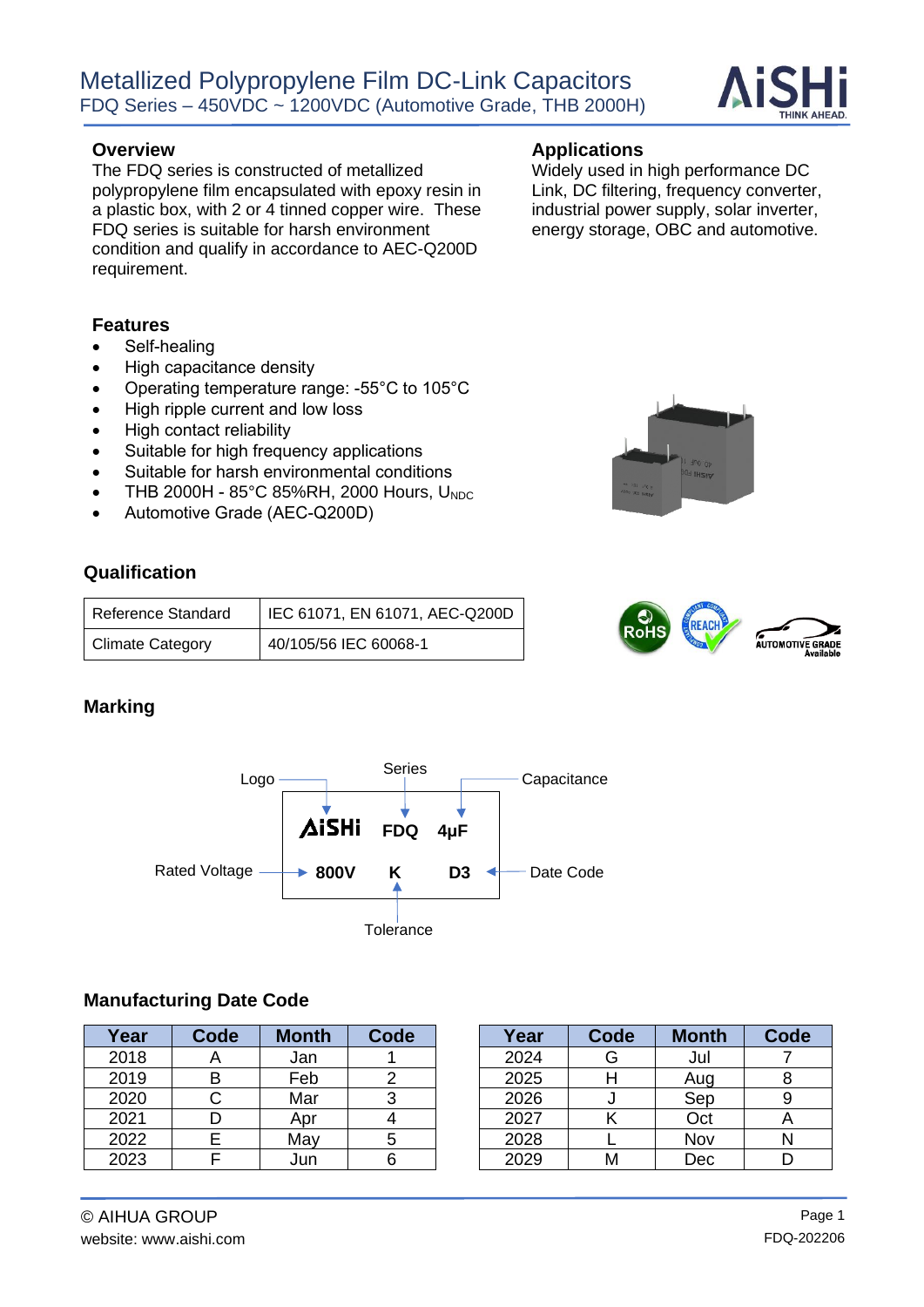

The FDQ series is constructed of metallized polypropylene film encapsulated with epoxy resin in a plastic box, with 2 or 4 tinned copper wire. These FDQ series is suitable for harsh environment condition and qualify in accordance to AEC-Q200D requirement.

#### **Features**

- Self-healing
- High capacitance density
- Operating temperature range: -55°C to 105°C
- High ripple current and low loss
- High contact reliability
- Suitable for high frequency applications
- Suitable for harsh environmental conditions
- THB 2000H  $85^{\circ}$ C 85%RH, 2000 Hours, U<sub>NDC</sub>
- Automotive Grade (AEC-Q200D)

#### **Qualification**

| <b>Reference Standard</b> | IEC 61071, EN 61071, AEC-Q200D |
|---------------------------|--------------------------------|
| <b>Climate Category</b>   | 40/105/56 IEC 60068-1          |

#### **Marking**

**Capacitance** Rated Voltage  $\longrightarrow 800V$  K D3  $\longleftarrow$  Date Code Logo Series **Tolerance FDQ 4μF 800V** 

#### **Manufacturing Date Code**

| Year | <b>Code</b> | <b>Month</b> | Code | Year | Code | <b>Month</b> | Code |
|------|-------------|--------------|------|------|------|--------------|------|
| 2018 |             | Jan          |      | 2024 | G    | Jul          |      |
| 2019 |             | Feb          |      | 2025 |      | Aug          |      |
| 2020 |             | Mar          |      | 2026 |      | Sep          |      |
| 2021 |             | Apr          |      | 2027 |      | Oct          |      |
| 2022 |             | May          |      | 2028 |      | Nov          |      |
| 2023 |             | Jun          |      | 2029 | Μ    | Dec          |      |

| Year | Code | <b>Month</b> | Code |
|------|------|--------------|------|
| 2024 | G    | Jul          |      |
| 2025 |      | Aug          |      |
| 2026 |      | Sep          |      |
| 2027 |      | Oct          |      |
| 2028 |      | Nov          |      |
| 2029 |      | Dec          |      |

Widely used in high performance DC Link, DC filtering, frequency converter, industrial power supply, solar inverter, energy storage, OBC and automotive.



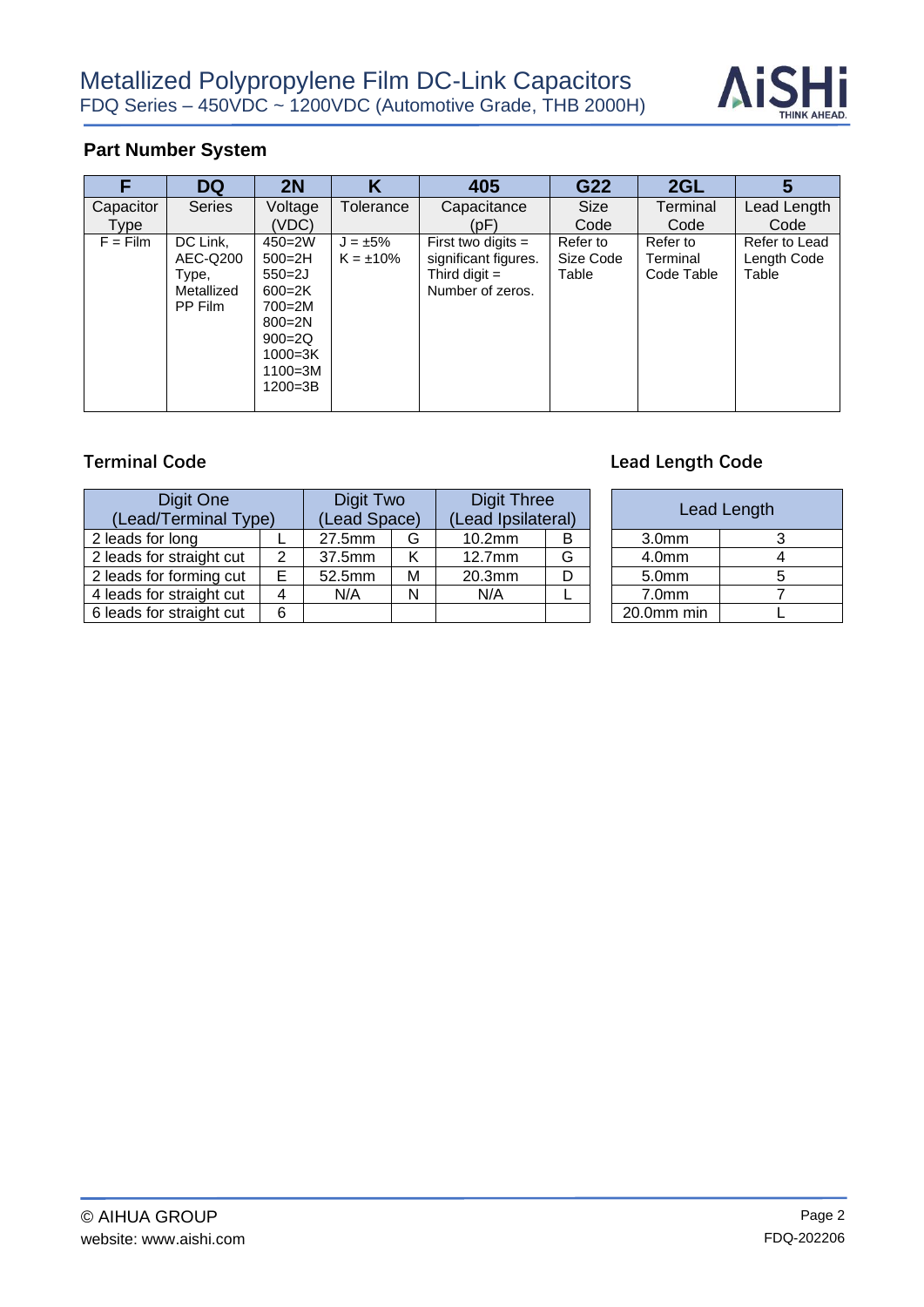

#### **Part Number System**

| F                 | <b>DQ</b>                                              | 2N                                                                                                                                          | Κ                               | 405                                                                                 | G22                            | 2GL                                | 5                                     |
|-------------------|--------------------------------------------------------|---------------------------------------------------------------------------------------------------------------------------------------------|---------------------------------|-------------------------------------------------------------------------------------|--------------------------------|------------------------------------|---------------------------------------|
| Capacitor<br>Type | <b>Series</b>                                          | Voltage<br>(VDC)                                                                                                                            | Tolerance                       | Capacitance<br>(pF)                                                                 | Size<br>Code                   | Terminal<br>Code                   | Lead Length<br>Code                   |
| $F = Film$        | DC Link,<br>AEC-Q200<br>Type,<br>Metallized<br>PP Film | $450 = 2W$<br>$500 = 2H$<br>$550 = 2J$<br>$600 = 2K$<br>$700 = 2M$<br>$800 = 2N$<br>$900 = 2Q$<br>$1000 = 3K$<br>$1100 = 3M$<br>$1200 = 3B$ | $J = \pm 5\%$<br>$K = \pm 10\%$ | First two digits $=$<br>significant figures.<br>Third digit $=$<br>Number of zeros. | Refer to<br>Size Code<br>Table | Refer to<br>Terminal<br>Code Table | Refer to Lead<br>Length Code<br>Table |

| Digit One<br>(Lead/Terminal Type) |   | Digit Two<br>(Lead Space) |   | <b>Digit Three</b><br>(Lead Ipsilateral) |   |                   | <b>Lead Length</b> |
|-----------------------------------|---|---------------------------|---|------------------------------------------|---|-------------------|--------------------|
| 2 leads for long                  |   | 27.5mm                    | G | 10.2 <sub>mm</sub>                       | в | 3.0 <sub>mm</sub> |                    |
| 2 leads for straight cut          | 2 | 37.5mm                    | Κ | 12.7 <sub>mm</sub>                       | G | 4.0mm             | Δ                  |
| 2 leads for forming cut           |   | 52.5mm                    | M | 20.3mm                                   | D | 5.0mm             |                    |
| 4 leads for straight cut          |   | N/A                       | N | N/A                                      |   | 7.0 <sub>mm</sub> |                    |
| 6 leads for straight cut          | 6 |                           |   |                                          |   | 20.0mm min        |                    |

# **Terminal Code Lead Length Code Lead Length Code**

| <b>Digit Three</b><br>(Lead Ipsilateral) |   |                   | Lead Length |
|------------------------------------------|---|-------------------|-------------|
| 10.2mm                                   |   | 3.0 <sub>mm</sub> |             |
| $12.7$ mm                                | G | 4.0 <sub>mm</sub> |             |
| 20.3mm                                   |   | 5.0mm             |             |
| N/A                                      |   | 7.0 <sub>mm</sub> |             |
|                                          |   | 20.0mm min        |             |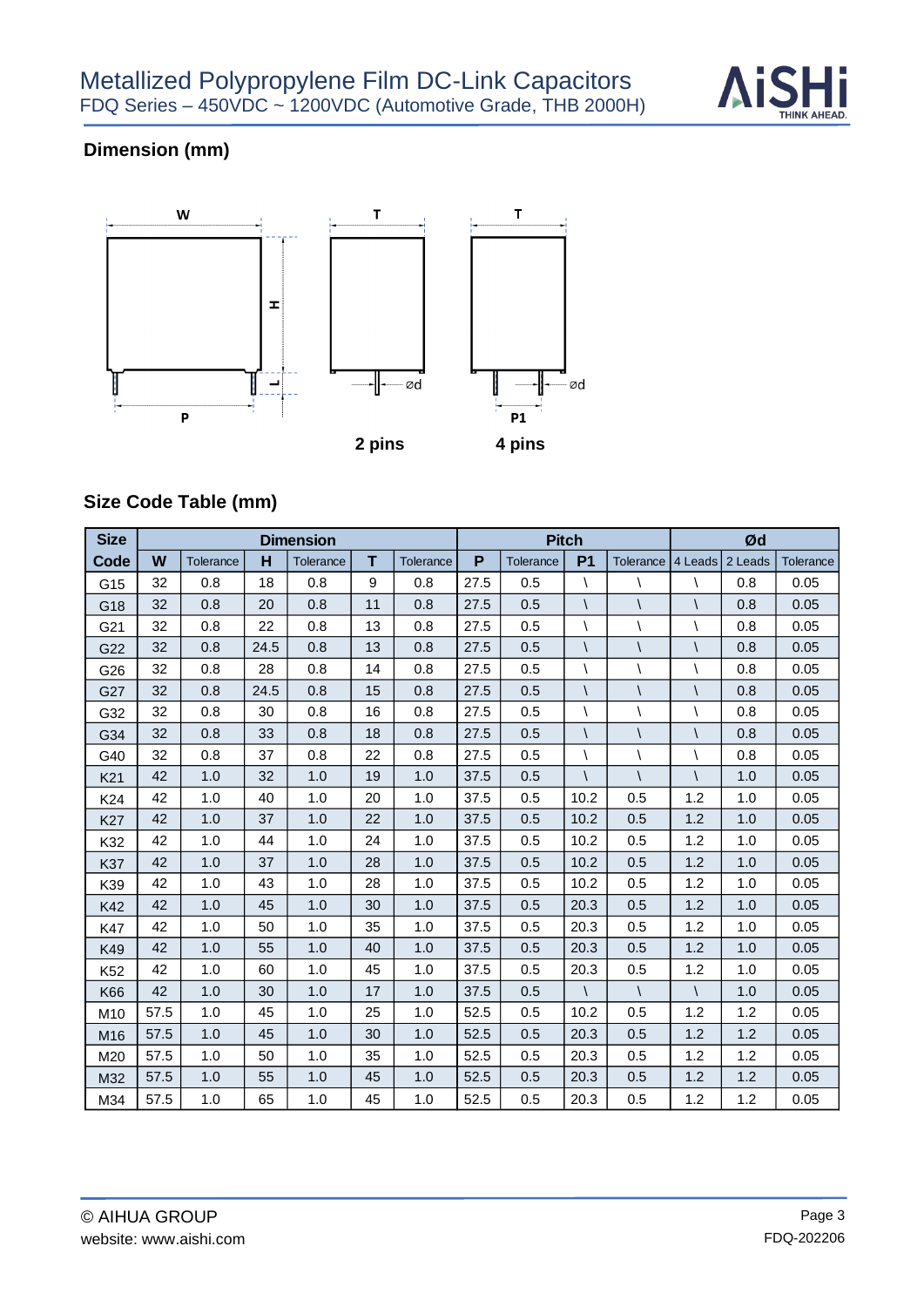

# **Dimension (mm)**



# **Size Code Table (mm)**

| <b>Size</b>     |      |           |      | <b>Dimension</b> |    |                  |      |           | <b>Pitch</b>   |              | Ød           |         |           |  |
|-----------------|------|-----------|------|------------------|----|------------------|------|-----------|----------------|--------------|--------------|---------|-----------|--|
| Code            | W    | Tolerance | н    | Tolerance        | т  | <b>Tolerance</b> | P    | Tolerance | P <sub>1</sub> | Tolerance    | 4 Leads      | 2 Leads | Tolerance |  |
| G15             | 32   | 0.8       | 18   | 0.8              | 9  | 0.8              | 27.5 | 0.5       | $\lambda$      |              | V            | 0.8     | 0.05      |  |
| G18             | 32   | 0.8       | 20   | 0.8              | 11 | 0.8              | 27.5 | 0.5       | $\sqrt{2}$     |              | $\sqrt{2}$   | 0.8     | 0.05      |  |
| G21             | 32   | 0.8       | 22   | 0.8              | 13 | 0.8              | 27.5 | 0.5       | $\lambda$      | $\backslash$ | $\lambda$    | 0.8     | 0.05      |  |
| G22             | 32   | 0.8       | 24.5 | 0.8              | 13 | 0.8              | 27.5 | 0.5       | $\sqrt{}$      |              | $\sqrt{2}$   | 0.8     | 0.05      |  |
| G26             | 32   | 0.8       | 28   | 0.8              | 14 | 0.8              | 27.5 | 0.5       | Λ              |              | $\lambda$    | 0.8     | 0.05      |  |
| G27             | 32   | 0.8       | 24.5 | 0.8              | 15 | 0.8              | 27.5 | 0.5       | $\sqrt{2}$     |              | $\sqrt{2}$   | 0.8     | 0.05      |  |
| G32             | 32   | 0.8       | 30   | 0.8              | 16 | 0.8              | 27.5 | 0.5       | $\lambda$      |              | $\backslash$ | 0.8     | 0.05      |  |
| G34             | 32   | 0.8       | 33   | 0.8              | 18 | 0.8              | 27.5 | 0.5       | $\sqrt{2}$     |              | $\sqrt{2}$   | 0.8     | 0.05      |  |
| G40             | 32   | 0.8       | 37   | 0.8              | 22 | 0.8              | 27.5 | 0.5       |                |              | $\backslash$ | 0.8     | 0.05      |  |
| K <sub>21</sub> | 42   | 1.0       | 32   | 1.0              | 19 | 1.0              | 37.5 | 0.5       | $\sqrt{2}$     |              | $\sqrt{2}$   | 1.0     | 0.05      |  |
| K24             | 42   | 1.0       | 40   | 1.0              | 20 | 1.0              | 37.5 | 0.5       | 10.2           | 0.5          | 1.2          | 1.0     | 0.05      |  |
| K27             | 42   | 1.0       | 37   | 1.0              | 22 | 1.0              | 37.5 | 0.5       | 10.2           | 0.5          | 1.2          | 1.0     | 0.05      |  |
| K32             | 42   | 1.0       | 44   | 1.0              | 24 | 1.0              | 37.5 | 0.5       | 10.2           | 0.5          | 1.2          | 1.0     | 0.05      |  |
| K37             | 42   | 1.0       | 37   | 1.0              | 28 | 1.0              | 37.5 | 0.5       | 10.2           | 0.5          | 1.2          | 1.0     | 0.05      |  |
| K39             | 42   | 1.0       | 43   | 1.0              | 28 | 1.0              | 37.5 | 0.5       | 10.2           | 0.5          | 1.2          | 1.0     | 0.05      |  |
| K42             | 42   | 1.0       | 45   | 1.0              | 30 | 1.0              | 37.5 | 0.5       | 20.3           | 0.5          | 1.2          | 1.0     | 0.05      |  |
| K47             | 42   | 1.0       | 50   | 1.0              | 35 | 1.0              | 37.5 | 0.5       | 20.3           | 0.5          | 1.2          | 1.0     | 0.05      |  |
| K49             | 42   | 1.0       | 55   | 1.0              | 40 | 1.0              | 37.5 | 0.5       | 20.3           | 0.5          | 1.2          | 1.0     | 0.05      |  |
| K <sub>52</sub> | 42   | 1.0       | 60   | 1.0              | 45 | 1.0              | 37.5 | 0.5       | 20.3           | 0.5          | 1.2          | 1.0     | 0.05      |  |
| K66             | 42   | 1.0       | 30   | 1.0              | 17 | 1.0              | 37.5 | 0.5       | $\sqrt{2}$     | $\sqrt{2}$   | $\sqrt{2}$   | 1.0     | 0.05      |  |
| M10             | 57.5 | 1.0       | 45   | 1.0              | 25 | 1.0              | 52.5 | 0.5       | 10.2           | 0.5          | 1.2          | 1.2     | 0.05      |  |
| M16             | 57.5 | 1.0       | 45   | 1.0              | 30 | 1.0              | 52.5 | 0.5       | 20.3           | 0.5          | 1.2          | 1.2     | 0.05      |  |
| M20             | 57.5 | 1.0       | 50   | 1.0              | 35 | 1.0              | 52.5 | 0.5       | 20.3           | 0.5          | 1.2          | 1.2     | 0.05      |  |
| M32             | 57.5 | 1.0       | 55   | 1.0              | 45 | 1.0              | 52.5 | 0.5       | 20.3           | 0.5          | 1.2          | 1.2     | 0.05      |  |
| M34             | 57.5 | 1.0       | 65   | 1.0              | 45 | 1.0              | 52.5 | 0.5       | 20.3           | 0.5          | 1.2          | 1.2     | 0.05      |  |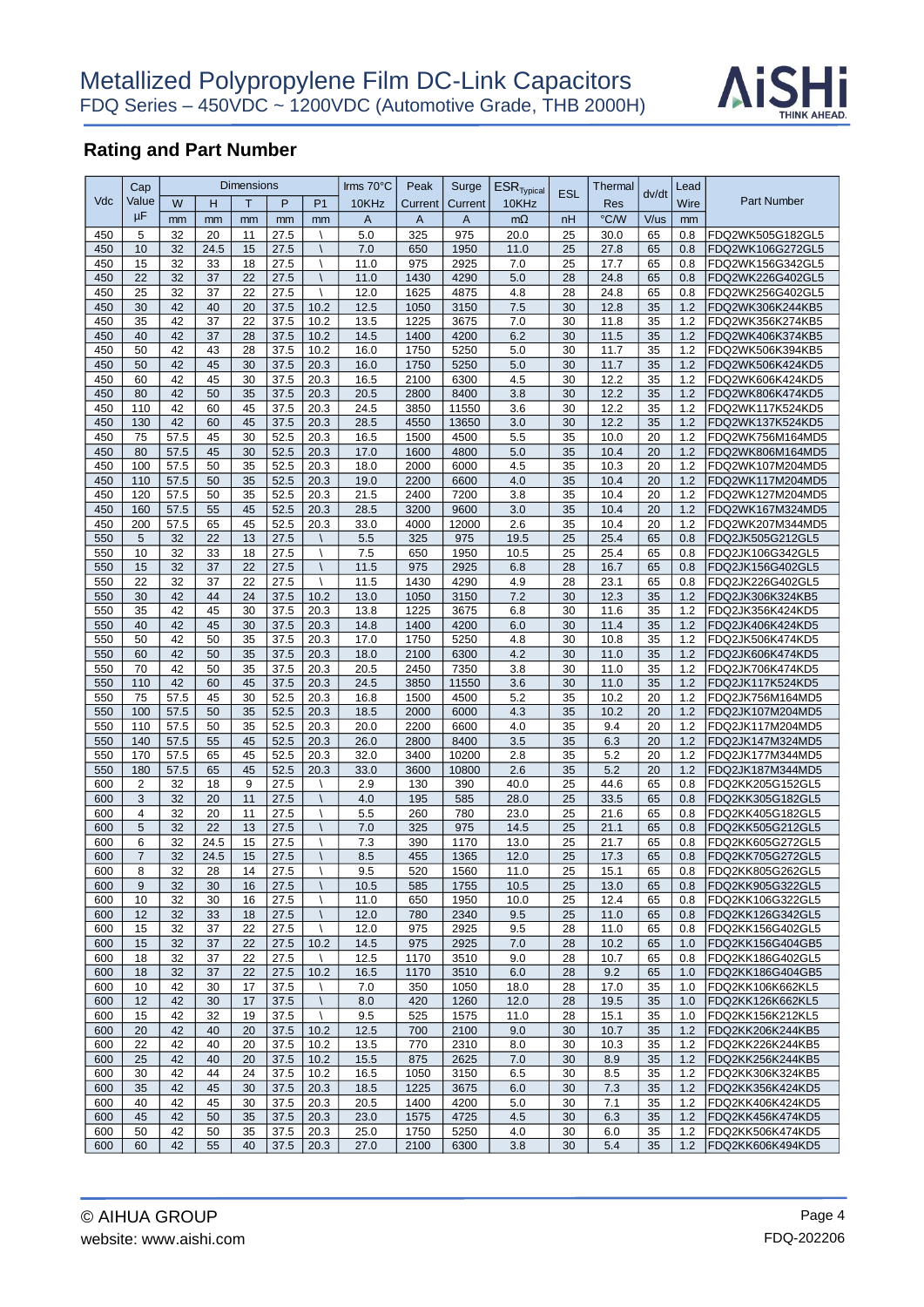

|            | Cap            |          |          | <b>Dimensions</b> |              |                             | Irms 70°C    | Peak        | Surge        | $ESR$ <sub>Typical</sub> | <b>ESL</b> | Thermal      |          | Lead       |                                      |
|------------|----------------|----------|----------|-------------------|--------------|-----------------------------|--------------|-------------|--------------|--------------------------|------------|--------------|----------|------------|--------------------------------------|
| Vdc        | Value          | W        | Η        | T                 | P            | P <sub>1</sub>              | 10KHz        | Current     | Current      | 10KHz                    |            | Res          | dv/dt    | Wire       | <b>Part Number</b>                   |
|            | μF             | mm       | mm       | mm                | mm           | mm                          | A            | A           | $\mathsf{A}$ | $m\Omega$                | nH         | °C/W         | V/us     | mm         |                                      |
| 450        | 5              | 32       | 20       | 11                | 27.5         |                             | 5.0          | 325         | 975          | 20.0                     | 25         | 30.0         | 65       | 0.8        | FDQ2WK505G182GL5                     |
| 450        | 10             | 32       | 24.5     | 15                | 27.5         |                             | 7.0          | 650         | 1950         | 11.0                     | 25         | 27.8         | 65       | 0.8        | FDQ2WK106G272GL5                     |
| 450        | 15             | 32       | 33       | 18                | 27.5         |                             | 11.0         | 975         | 2925         | 7.0                      | 25         | 17.7         | 65       | 0.8        | FDQ2WK156G342GL5                     |
| 450        | 22             | 32       | 37       | 22                | 27.5         |                             | 11.0         | 1430        | 4290         | 5.0                      | 28         | 24.8         | 65       | 0.8        | FDQ2WK226G402GL5                     |
| 450        | 25             | 32       | 37       | 22                | 27.5         |                             | 12.0         | 1625        | 4875         | 4.8                      | 28         | 24.8         | 65       | 0.8        | FDQ2WK256G402GL5                     |
| 450        | 30             | 42       | 40       | 20                | 37.5         | $10.\overline{2}$           | 12.5         | 1050        | 3150         | 7.5                      | 30         | 12.8         | 35       | 1.2        | FDQ2WK306K244KB5                     |
| 450        | 35             | 42       | 37       | 22                | 37.5         | 10.2                        | 13.5         | 1225        | 3675         | 7.0                      | 30         | 11.8         | 35       | 1.2        | FDQ2WK356K274KB5                     |
| 450        | 40             | 42       | 37       | 28                | 37.5         | 10.2                        | 14.5         | 1400        | 4200         | 6.2                      | 30         | 11.5         | 35       | 1.2        | FDQ2WK406K374KB5                     |
| 450        | 50             | 42       | 43       | 28                | 37.5         | 10.2                        | 16.0         | 1750        | 5250         | 5.0                      | 30         | 11.7         | 35       | 1.2        | FDQ2WK506K394KB5                     |
| 450        | 50             | 42       | 45       | 30                | 37.5         | 20.3                        | 16.0         | 1750        | 5250         | 5.0                      | 30         | 11.7         | 35       | 1.2        | FDQ2WK506K424KD5                     |
| 450        | 60             | 42       | 45       | 30                | 37.5         | 20.3                        | 16.5         | 2100        | 6300         | 4.5                      | 30         | 12.2         | 35       | 1.2        | FDQ2WK606K424KD5                     |
| 450        | 80             | 42       | 50       | 35                | 37.5         | 20.3                        | 20.5         | 2800        | 8400         | 3.8                      | 30         | 12.2         | 35       | 1.2        | FDQ2WK806K474KD5                     |
| 450        | 110            | 42       | 60       | 45                | 37.5         | 20.3                        | 24.5         | 3850        | 11550        | 3.6                      | 30         | 12.2         | 35       | 1.2        | FDQ2WK117K524KD5                     |
| 450        | 130            | 42       | 60       | 45                | 37.5         | 20.3                        | 28.5         | 4550        | 13650        | 3.0                      | 30         | 12.2         | 35       | 1.2        | FDQ2WK137K524KD5                     |
| 450        | 75             | 57.5     | 45       | 30                | 52.5         | 20.3                        | 16.5         | 1500        | 4500         | 5.5                      | 35         | 10.0         | 20       | 1.2        | FDQ2WK756M164MD5                     |
| 450        | 80             | 57.5     | 45       | 30                | 52.5         | 20.3                        | 17.0         | 1600        | 4800         | 5.0                      | 35         | 10.4         | 20       | 1.2        | FDQ2WK806M164MD5                     |
| 450        | 100            | 57.5     | 50       | 35                | 52.5         | 20.3                        | 18.0         | 2000        | 6000         | 4.5                      | 35         | 10.3         | 20       | 1.2        | FDQ2WK107M204MD5                     |
| 450        | 110            | 57.5     | 50       | 35                | 52.5         | 20.3                        | 19.0         | 2200        | 6600         | 4.0                      | 35         | 10.4         | 20       | 1.2        | FDQ2WK117M204MD5                     |
| 450        | 120            | 57.5     | 50       | 35                | 52.5         | 20.3                        | 21.5         | 2400        | 7200         | 3.8                      | 35         | 10.4         | 20       | 1.2        | FDQ2WK127M204MD5                     |
| 450        | 160            | 57.5     | 55       | 45                | 52.5         | 20.3                        | 28.5         | 3200        | 9600         | 3.0                      | 35         | 10.4         | 20       | 1.2        | FDQ2WK167M324MD5                     |
| 450        | 200            | 57.5     | 65       | 45                | 52.5         | 20.3                        | 33.0         | 4000        | 12000        | 2.6                      | 35         | 10.4         | 20       | 1.2        | FDQ2WK207M344MD5                     |
| 550        | 5              | 32       | 22       | 13                | 27.5         |                             | 5.5          | 325         | 975          | 19.5                     | 25         | 25.4         | 65       | 0.8        | FDQ2JK505G212GL5                     |
| 550        | 10             | 32       | 33       | 18                | 27.5         |                             | 7.5          | 650         | 1950         | 10.5                     | 25         | 25.4         | 65       | 0.8        | FDQ2JK106G342GL5                     |
| 550        | 15             | 32       | 37       | 22                | 27.5         |                             | 11.5         | 975         | 2925         | 6.8                      | 28         | 16.7         | 65       | 0.8        | FDQ2JK156G402GL5                     |
| 550        | 22             | 32       | 37       | 22                | 27.5         |                             | 11.5         | 1430        | 4290         | 4.9                      | 28         | 23.1         | 65       | 0.8        | FDQ2JK226G402GL5                     |
| 550        | 30             | 42       | 44       | 24                | 37.5         | 10.2                        | 13.0         | 1050        | 3150         | 7.2                      | 30         | 12.3         | 35       | 1.2        | FDQ2JK306K324KB5                     |
| 550        | 35             | 42       | 45       | 30                | 37.5         | 20.3                        | 13.8         | 1225        | 3675         | 6.8                      | 30         | 11.6         | 35       | 1.2        | FDQ2JK356K424KD5                     |
| 550        | 40             | 42       | 45       | 30                | 37.5         | 20.3                        | 14.8         | 1400        | 4200         | 6.0                      | 30         | 11.4         | 35       | 1.2        | FDQ2JK406K424KD5                     |
| 550        | 50             | 42       | 50       | 35                | 37.5         | 20.3                        | 17.0         | 1750        | 5250         | 4.8                      | 30         | 10.8         | 35       | 1.2        | FDQ2JK506K474KD5                     |
| 550        | 60             | 42       | 50       | 35                | 37.5         | 20.3                        | 18.0         | 2100        | 6300         | 4.2                      | 30         | 11.0         | 35       | 1.2        | FDQ2JK606K474KD5                     |
| 550        | 70             | 42       | 50       | 35                | 37.5         | 20.3                        | 20.5         | 2450        | 7350         | 3.8                      | 30         | 11.0         | 35       | 1.2        | FDQ2JK706K474KD5                     |
| 550        | 110            | 42       | 60       | 45                | 37.5         | 20.3                        | 24.5         | 3850        | 11550        | 3.6                      | 30         | 11.0         | 35       | 1.2        | FDQ2JK117K524KD5                     |
| 550        | 75             | 57.5     | 45       | 30                | 52.5         | 20.3                        | 16.8         | 1500        | 4500         | 5.2                      | 35         | 10.2         | 20       | 1.2        | FDQ2JK756M164MD5                     |
| 550        | 100            | 57.5     | 50       | 35                | 52.5         | 20.3                        | 18.5         | 2000        | 6000         | 4.3                      | 35         | 10.2         | 20       | 1.2        | FDQ2JK107M204MD5                     |
| 550        | 110            | 57.5     | 50       | 35                | 52.5         | 20.3                        | 20.0         | 2200        | 6600         | 4.0                      | 35         | 9.4          | 20       | 1.2        | FDQ2JK117M204MD5                     |
| 550        | 140            | 57.5     | 55       | 45                | 52.5         | 20.3                        | 26.0         | 2800        | 8400         | 3.5                      | 35         | 6.3          | 20       | 1.2        | FDQ2JK147M324MD5                     |
| 550        | 170            | 57.5     | 65       | 45                | 52.5         | 20.3                        | 32.0         | 3400        | 10200        | 2.8                      | 35         | 5.2          | 20       | 1.2        | FDQ2JK177M344MD5                     |
| 550        | 180            | 57.5     | 65       | 45                | 52.5         | 20.3                        | 33.0         | 3600        | 10800        | 2.6                      | 35         | 5.2          | 20       | 1.2        | FDQ2JK187M344MD5                     |
| 600        | $\overline{2}$ | 32       | 18       | 9                 | 27.5         |                             | 2.9          | 130         | 390          | 40.0                     | 25         | 44.6         | 65       | 0.8        | FDQ2KK205G152GL5                     |
| 600        | 3              | 32       | 20       | 11                | 27.5         |                             | 4.0          | 195         | 585          | 28.0                     | 25         | 33.5         | 65       | 0.8        | FDQ2KK305G182GL5                     |
| 600        | $\overline{4}$ | 32       | 20       | 11                | 27.5         |                             | 5.5          | 260         | 780          | 23.0                     | 25         | 21.6         | 65       | 0.8        | FDQ2KK405G182GL5                     |
| 600        | 5              | 32       | 22       | 13                | 27.5         |                             | 7.0          | 325         | 975          | 14.5                     | 25         | 21.1         | 65       | 0.8        | FDQ2KK505G212GL5                     |
| 600        | 6              | 32       | 24.5     | 15                | 27.5         |                             | 7.3          | 390         | 1170         | 13.0                     | 25         | 21.7         | 65       | 0.8        | FDQ2KK605G272GL5                     |
| 600        | $\overline{7}$ | 32       | 24.5     | 15                | 27.5         |                             | 8.5          | 455         | 1365         | 12.0                     | 25         | 17.3         | 65       | 0.8        | FDQ2KK705G272GL5                     |
| 600        | 8              | 32       | 28       | 14                | 27.5         |                             | 9.5          | 520         | 1560         | 11.0                     | 25         | 15.1         | 65       | 0.8        | FDQ2KK805G262GL5                     |
| 600        | 9              | 32       | 30       | 16                | 27.5         | $\lambda$                   | 10.5         | 585         | 1755         | 10.5                     | 25         | 13.0         | 65       | 0.8        | FDQ2KK905G322GL5                     |
| 600        | 10             | 32       | 30       | 16                | 27.5         |                             | 11.0         | 650         | 1950         | 10.0                     | 25         | 12.4         | 65       | 0.8        | FDQ2KK106G322GL5                     |
| 600        | 12             | 32       | 33       | 18                | 27.5         | $\mathcal{L}_{\mathcal{L}}$ | 12.0         | 780         | 2340         | 9.5                      | 25         | 11.0         | 65       | 0.8        | FDQ2KK126G342GL5                     |
| 600        | 15             | 32       | 37       | 22                | 27.5         | $\lambda$                   | 12.0         | 975         | 2925         | 9.5                      | 28         | 11.0         | 65       | 0.8        | FDQ2KK156G402GL5                     |
| 600        | 15<br>18       | 32       | 37<br>37 | 22                | 27.5<br>27.5 | 10.2                        | 14.5<br>12.5 | 975<br>1170 | 2925         | 7.0<br>9.0               | 28         | 10.2         | 65       | 1.0        | FDQ2KK156G404GB5<br>FDQ2KK186G402GL5 |
| 600        |                | 32       |          | 22                |              |                             |              |             | 3510         |                          | 28         | 10.7         | 65       | 0.8        |                                      |
| 600        | 18             | 32       | 37       | 22                | 27.5         | 10.2                        | 16.5         | 1170        | 3510         | 6.0                      | 28         | 9.2          | 65       | 1.0        | FDQ2KK186G404GB5                     |
| 600        | 10             | 42       | 30       | 17                | 37.5         |                             | 7.0          | 350         | 1050         | 18.0                     | 28         | 17.0         | 35       | 1.0        | FDQ2KK106K662KL5                     |
| 600        | 12             | 42       | 30       | 17                | 37.5         | $\sqrt{2}$                  | 8.0          | 420         | 1260         | 12.0                     | 28         | 19.5         | 35       | 1.0        | FDQ2KK126K662KL5                     |
| 600        | 15<br>20       | 42<br>42 | 32<br>40 | 19<br>20          | 37.5         | Λ<br>10.2                   | 9.5<br>12.5  | 525<br>700  | 1575         | 11.0<br>9.0              | 28<br>30   | 15.1<br>10.7 | 35<br>35 | 1.0<br>1.2 | FDQ2KK156K212KL5<br>FDQ2KK206K244KB5 |
| 600<br>600 | 22             | 42       | 40       |                   | 37.5         |                             |              | 770         | 2100         |                          | 30         |              | 35       | 1.2        | FDQ2KK226K244KB5                     |
| 600        | 25             | 42       | 40       | 20<br>20          | 37.5<br>37.5 | 10.2<br>10.2                | 13.5<br>15.5 | 875         | 2310<br>2625 | 8.0<br>7.0               | 30         | 10.3<br>8.9  | 35       | 1.2        | FDQ2KK256K244KB5                     |
| 600        | 30             | 42       | 44       | 24                | 37.5         | 10.2                        | 16.5         | 1050        | 3150         | 6.5                      | 30         | 8.5          | 35       | 1.2        | FDQ2KK306K324KB5                     |
| 600        | 35             | 42       | 45       | 30                | 37.5         | 20.3                        | 18.5         | 1225        | 3675         | 6.0                      | 30         | 7.3          | 35       | 1.2        | FDQ2KK356K424KD5                     |
| 600        | 40             | 42       | 45       | 30                | 37.5         | 20.3                        | 20.5         | 1400        | 4200         | 5.0                      | 30         | 7.1          | 35       | 1.2        | FDQ2KK406K424KD5                     |
| 600        | 45             | 42       | 50       | 35                | 37.5         | 20.3                        | 23.0         | 1575        | 4725         | 4.5                      | 30         | 6.3          | 35       | 1.2        | FDQ2KK456K474KD5                     |
| 600        | 50             | 42       | 50       | 35                | 37.5         | 20.3                        | 25.0         | 1750        | 5250         | 4.0                      | 30         | 6.0          | 35       | 1.2        | FDQ2KK506K474KD5                     |
| 600        | 60             | 42       | 55       | 40                | 37.5         | 20.3                        | 27.0         | 2100        | 6300         | 3.8                      | 30         | 5.4          | 35       | 1.2        | FDQ2KK606K494KD5                     |
|            |                |          |          |                   |              |                             |              |             |              |                          |            |              |          |            |                                      |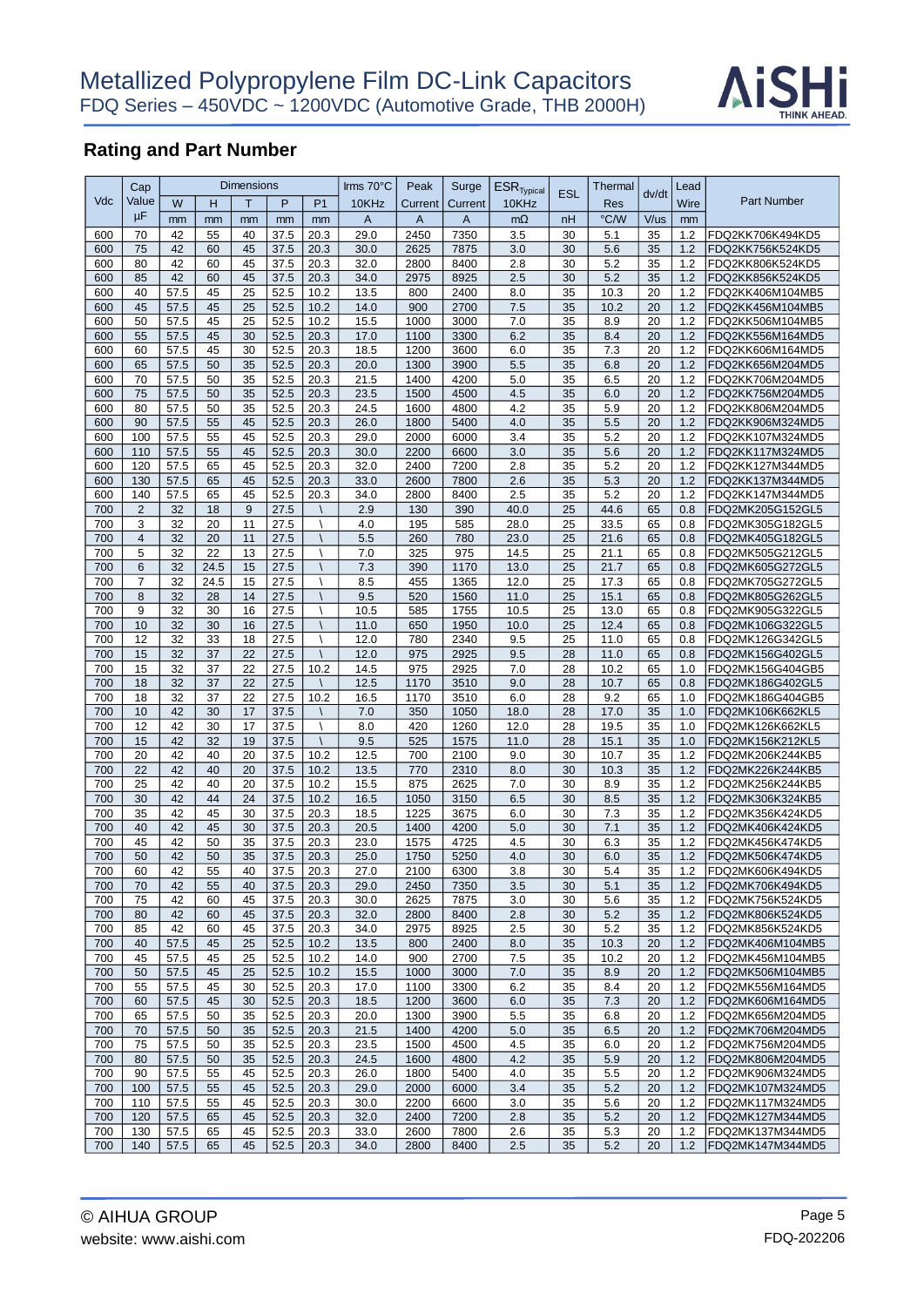

|            | Cap                 |              |            | <b>Dimensions</b> |              |                          | Irms 70°C    | Peak         | Surge        | $ESR$ <sub>Typical</sub> | <b>ESL</b> | Thermal      |          | Lead       |                                      |
|------------|---------------------|--------------|------------|-------------------|--------------|--------------------------|--------------|--------------|--------------|--------------------------|------------|--------------|----------|------------|--------------------------------------|
| Vdc        | Value               | W            | н          | T                 | P            | P <sub>1</sub>           | 10KHz        | Current      | Current      | 10KHz                    |            | Res          | dv/dt    | Wire       | <b>Part Number</b>                   |
|            | μF                  | mm           | mm         | mm                | mm           | mm                       | A            | $\mathsf{A}$ | $\mathsf{A}$ | $m\Omega$                | nH         | °C/W         | V/us     | mm         |                                      |
| 600        | 70                  | 42           | 55         | 40                | 37.5         | 20.3                     | 29.0         | 2450         | 7350         | 3.5                      | 30         | 5.1          | 35       | 1.2        | FDQ2KK706K494KD5                     |
| 600        | 75                  | 42           | 60         | 45                | 37.5         | 20.3                     | 30.0         | 2625         | 7875         | 3.0                      | 30         | 5.6          | 35       | 1.2        | FDQ2KK756K524KD5                     |
| 600        | 80                  | 42           | 60         | 45                | 37.5         | 20.3                     | 32.0         | 2800         | 8400         | 2.8                      | 30         | 5.2          | 35       | 1.2        | FDQ2KK806K524KD5                     |
| 600        | 85                  | 42           | 60         | 45                | 37.5         | 20.3                     | 34.0         | 2975         | 8925         | 2.5                      | 30         | 5.2          | 35       | 1.2        | FDQ2KK856K524KD5                     |
| 600        | 40                  | 57.5         | 45         | 25                | 52.5         | 10.2                     | 13.5         | 800          | 2400         | 8.0                      | 35         | 10.3         | 20       | 1.2        | FDQ2KK406M104MB5                     |
| 600        | 45                  | 57.5         | 45         | 25                | 52.5         | 10.2                     | 14.0         | 900          | 2700         | 7.5                      | 35         | 10.2         | 20       | 1.2        | FDQ2KK456M104MB5                     |
| 600        | 50                  | 57.5         | 45         | 25                | 52.5         | 10.2                     | 15.5         | 1000         | 3000         | 7.0                      | 35         | 8.9          | 20       | 1.2        | FDQ2KK506M104MB5                     |
| 600        | 55                  | 57.5         | 45         | 30                | 52.5         | 20.3                     | 17.0         | 1100         | 3300         | 6.2                      | 35         | 8.4          | 20       | 1.2        | FDQ2KK556M164MD5                     |
| 600        | 60                  | 57.5         | 45         | 30                | 52.5         | 20.3                     | 18.5         | 1200         | 3600         | 6.0                      | 35         | 7.3          | 20       | 1.2        | FDQ2KK606M164MD5                     |
| 600        | 65                  | 57.5         | 50         | 35                | 52.5         | 20.3                     | 20.0         | 1300         | 3900         | 5.5                      | 35         | 6.8          | 20       | 1.2        | FDQ2KK656M204MD5                     |
| 600        | 70                  | 57.5         | 50         | 35                | 52.5         | 20.3                     | 21.5         | 1400         | 4200         | 5.0                      | 35         | 6.5          | 20       | 1.2        | FDQ2KK706M204MD5                     |
| 600        | 75                  | 57.5         | 50         | 35                | 52.5         | 20.3                     | 23.5         | 1500         | 4500         | 4.5                      | 35         | 6.0          | 20       | 1.2        | FDQ2KK756M204MD5                     |
| 600        | 80                  | 57.5         | 50         | 35                | 52.5         | 20.3                     | 24.5         | 1600         | 4800         | 4.2                      | 35         | 5.9          | 20       | 1.2        | FDQ2KK806M204MD5                     |
| 600        | 90                  | 57.5         | 55         | 45                | 52.5         | 20.3                     | 26.0         | 1800         | 5400         | 4.0                      | 35         | 5.5          | 20       | 1.2        | FDQ2KK906M324MD5                     |
| 600        | 100                 | 57.5         | 55         | 45                | 52.5         | 20.3                     | 29.0         | 2000         | 6000         | 3.4                      | 35         | 5.2          | 20       | 1.2        | FDQ2KK107M324MD5                     |
| 600        | 110                 | 57.5         | 55         | 45                | 52.5         | 20.3                     | 30.0         | 2200         | 6600         | 3.0                      | 35         | 5.6          | 20       | 1.2        | FDQ2KK117M324MD5                     |
| 600        | 120                 | 57.5         | 65         | 45                | 52.5         | 20.3                     | 32.0         | 2400         | 7200         | 2.8                      | 35         | 5.2          | 20       | 1.2        | FDQ2KK127M344MD5                     |
| 600        | 130                 | 57.5         | 65         | 45                | 52.5         | 20.3                     | 33.0         | 2600         | 7800         | 2.6                      | 35         | 5.3          | 20       | 1.2        | FDQ2KK137M344MD5                     |
| 600        | 140                 | 57.5         | 65         | 45                | 52.5         | 20.3                     | 34.0         | 2800         | 8400         | 2.5                      | 35         | 5.2          | 20       | 1.2        | FDQ2KK147M344MD5                     |
| 700        | $\overline{2}$      | 32           | 18         | 9                 | 27.5         |                          | 2.9          | 130          | 390          | 40.0                     | 25         | 44.6         | 65       | 0.8        | FDQ2MK205G152GL5                     |
| 700        | 3                   | 32           | 20         | 11                | 27.5         |                          | 4.0          | 195          | 585          | 28.0                     | 25         | 33.5         | 65       | 0.8        | FDQ2MK305G182GL5                     |
| 700        | $\overline{4}$      | 32           | 20         | 11                | 27.5         |                          | 5.5          | 260          | 780          | 23.0                     | 25         | 21.6         | 65       | 0.8        | FDQ2MK405G182GL5<br>FDQ2MK505G212GL5 |
| 700<br>700 | 5<br>$6\phantom{1}$ | 32<br>32     | 22<br>24.5 | 13<br>15          | 27.5<br>27.5 |                          | 7.0<br>7.3   | 325<br>390   | 975<br>1170  | 14.5<br>13.0             | 25<br>25   | 21.1<br>21.7 | 65<br>65 | 0.8<br>0.8 | FDQ2MK605G272GL5                     |
| 700        | $\overline{7}$      | 32           |            | 15                |              |                          |              | 455          |              | 12.0                     |            |              |          |            |                                      |
| 700        | 8                   | 32           | 24.5<br>28 | 14                | 27.5<br>27.5 |                          | 8.5<br>9.5   | 520          | 1365<br>1560 | 11.0                     | 25<br>25   | 17.3<br>15.1 | 65<br>65 | 0.8<br>0.8 | FDQ2MK705G272GL5<br>FDQ2MK805G262GL5 |
| 700        | 9                   | 32           | 30         | 16                | 27.5         | Λ                        | 10.5         | 585          | 1755         | 10.5                     | 25         | 13.0         | 65       | 0.8        | FDQ2MK905G322GL5                     |
| 700        | 10                  | 32           | 30         | 16                | 27.5         | $\lambda$                | 11.0         | 650          | 1950         | 10.0                     | 25         | 12.4         | 65       | 0.8        | FDQ2MK106G322GL5                     |
| 700        | 12                  | 32           | 33         | 18                | 27.5         |                          | 12.0         | 780          | 2340         | 9.5                      | 25         | 11.0         | 65       | 0.8        | FDQ2MK126G342GL5                     |
| 700        | 15                  | 32           | 37         | 22                | 27.5         | $\overline{\phantom{0}}$ | 12.0         | 975          | 2925         | 9.5                      | 28         | 11.0         | 65       | 0.8        | FDQ2MK156G402GL5                     |
| 700        | 15                  | 32           | 37         | 22                | 27.5         | 10.2                     | 14.5         | 975          | 2925         | 7.0                      | 28         | 10.2         | 65       | 1.0        | FDQ2MK156G404GB5                     |
| 700        | 18                  | 32           | 37         | 22                | 27.5         |                          | 12.5         | 1170         | 3510         | 9.0                      | 28         | 10.7         | 65       | 0.8        | FDQ2MK186G402GL5                     |
| 700        | 18                  | 32           | 37         | 22                | 27.5         | 10.2                     | 16.5         | 1170         | 3510         | 6.0                      | 28         | 9.2          | 65       | 1.0        | FDQ2MK186G404GB5                     |
| 700        | 10                  | 42           | 30         | 17                | 37.5         |                          | 7.0          | 350          | 1050         | 18.0                     | 28         | 17.0         | 35       | 1.0        | FDQ2MK106K662KL5                     |
| 700        | 12                  | 42           | 30         | 17                | 37.5         |                          | 8.0          | 420          | 1260         | 12.0                     | 28         | 19.5         | 35       | 1.0        | FDQ2MK126K662KL5                     |
| 700        | 15                  | 42           | 32         | 19                | 37.5         | $\overline{\phantom{0}}$ | 9.5          | 525          | 1575         | 11.0                     | 28         | 15.1         | 35       | 1.0        | FDQ2MK156K212KL5                     |
| 700        | 20                  | 42           | 40         | 20                | 37.5         | 10.2                     | 12.5         | 700          | 2100         | 9.0                      | 30         | 10.7         | 35       | 1.2        | FDQ2MK206K244KB5                     |
| 700        | 22                  | 42           | 40         | 20                | 37.5         | 10.2                     | 13.5         | 770          | 2310         | 8.0                      | 30         | 10.3         | 35       | 1.2        | FDQ2MK226K244KB5                     |
| 700        | 25                  | 42           | 40         | 20                | 37.5         | 10.2                     | 15.5         | 875          | 2625         | 7.0                      | 30         | 8.9          | 35       | 1.2        | FDQ2MK256K244KB5                     |
| 700        | 30                  | 42           | 44         | 24                | 37.5         | 10.2                     | 16.5         | 1050         | 3150         | 6.5                      | 30         | 8.5          | 35       | 1.2        | FDQ2MK306K324KB5                     |
| 700        | 35                  | 42           | 45         | 30                | 37.5         | 20.3                     | 18.5         | 1225         | 3675         | 6.0                      | 30         | 7.3          | 35       | 1.2        | FDQ2MK356K424KD5                     |
| 700        | 40                  | 42           | 45         | 30                | 37.5         | 20.3                     | 20.5         | 1400         | 4200         | 5.0                      | 30         | 7.1          | 35       | 1.2        | FDQ2MK406K424KD5                     |
| 700        | 45                  | 42           | 50         | 35                | 37.5         | 20.3                     | 23.0         | 1575         | 4725         | 4.5                      | 30         | 6.3          | 35       | 1.2        | FDQ2MK456K474KD5                     |
| 700        | 50                  | 42           | 50         | 35                | 37.5         | 20.3                     | 25.0         | 1750         | 5250         | 4.0                      | 30         | 6.0          | 35       | 1.2        | FDQ2MK506K474KD5                     |
| 700        | 60                  | 42           | 55         | 40                | 37.5         | 20.3                     | 27.0         | 2100         | 6300         | 3.8                      | 30         | 5.4          | 35       | 1.2        | FDQ2MK606K494KD5                     |
| 700        | 70                  | 42           | 55         | 40                | 37.5         | 20.3                     | 29.0         | 2450         | 7350         | 3.5                      | 30         | 5.1          | 35       | 1.2        | FDQ2MK706K494KD5                     |
| 700        | 75                  | 42           | 60         | 45                | 37.5         | 20.3                     | 30.0         | 2625         | 7875         | 3.0                      | 30         | 5.6          | 35       | 1.2        | FDQ2MK756K524KD5                     |
| 700        | 80                  | 42           | 60         | 45                | 37.5         | 20.3                     | 32.0         | 2800         | 8400         | 2.8                      | 30         | 5.2          | 35       | 1.2        | FDQ2MK806K524KD5                     |
| 700        | 85                  | 42           | 60         | 45<br>25          | 37.5         | 20.3                     | 34.0         | 2975         | 8925         | 2.5                      | 30         | 5.2          | 35       | 1.2        | FDQ2MK856K524KD5                     |
| 700<br>700 | 40<br>45            | 57.5<br>57.5 | 45<br>45   | 25                | 52.5<br>52.5 | 10.2<br>10.2             | 13.5<br>14.0 | 800<br>900   | 2400<br>2700 | 8.0<br>7.5               | 35<br>35   | 10.3<br>10.2 | 20<br>20 | 1.2<br>1.2 | FDQ2MK406M104MB5<br>FDQ2MK456M104MB5 |
| 700        |                     | 57.5         | 45         | 25                |              |                          |              |              |              | 7.0                      | 35         |              | 20       | 1.2        | FDQ2MK506M104MB5                     |
| 700        | 50<br>55            | 57.5         | 45         |                   | 52.5         | 10.2<br>20.3             | 15.5<br>17.0 | 1000<br>1100 | 3000         | 6.2                      | 35         | 8.9          | 20       | 1.2        | FDQ2MK556M164MD5                     |
| 700        | 60                  | 57.5         | 45         | 30<br>30          | 52.5<br>52.5 | 20.3                     | 18.5         | 1200         | 3300<br>3600 | 6.0                      | 35         | 8.4<br>7.3   | 20       | 1.2        | FDQ2MK606M164MD5                     |
| 700        | 65                  | 57.5         | 50         | 35                | 52.5         | 20.3                     | 20.0         | 1300         | 3900         | 5.5                      | 35         | 6.8          | 20       | 1.2        | FDQ2MK656M204MD5                     |
| 700        | 70                  | 57.5         | 50         | 35                | 52.5         | 20.3                     | 21.5         | 1400         | 4200         | 5.0                      | 35         | 6.5          | 20       | 1.2        | FDQ2MK706M204MD5                     |
| 700        | 75                  | 57.5         | 50         | 35                | 52.5         | 20.3                     | 23.5         | 1500         | 4500         | 4.5                      | 35         | 6.0          | 20       | 1.2        | FDQ2MK756M204MD5                     |
| 700        | 80                  | 57.5         | 50         | 35                | 52.5         | 20.3                     | 24.5         | 1600         | 4800         | 4.2                      | 35         | 5.9          | 20       | 1.2        | FDQ2MK806M204MD5                     |
| 700        | 90                  | 57.5         | 55         | 45                | 52.5         | 20.3                     | 26.0         | 1800         | 5400         | 4.0                      | 35         | 5.5          | 20       | 1.2        | FDQ2MK906M324MD5                     |
| 700        | 100                 | 57.5         | 55         | 45                | 52.5         | 20.3                     | 29.0         | 2000         | 6000         | 3.4                      | 35         | 5.2          | 20       | 1.2        | FDQ2MK107M324MD5                     |
| 700        | 110                 | 57.5         | 55         | 45                | 52.5         | 20.3                     | 30.0         | 2200         | 6600         | 3.0                      | 35         | 5.6          | 20       | 1.2        | FDQ2MK117M324MD5                     |
| 700        | 120                 | 57.5         | 65         | 45                | 52.5         | 20.3                     | 32.0         | 2400         | 7200         | 2.8                      | 35         | 5.2          | 20       | 1.2        | FDQ2MK127M344MD5                     |
| 700        | 130                 | 57.5         | 65         | 45                | 52.5         | 20.3                     | 33.0         | 2600         | 7800         | 2.6                      | 35         | 5.3          | 20       | 1.2        | FDQ2MK137M344MD5                     |
| 700        | 140                 | 57.5         | 65         | 45                | 52.5         | 20.3                     | 34.0         | 2800         | 8400         | 2.5                      | 35         | 5.2          | 20       | 1.2        | FDQ2MK147M344MD5                     |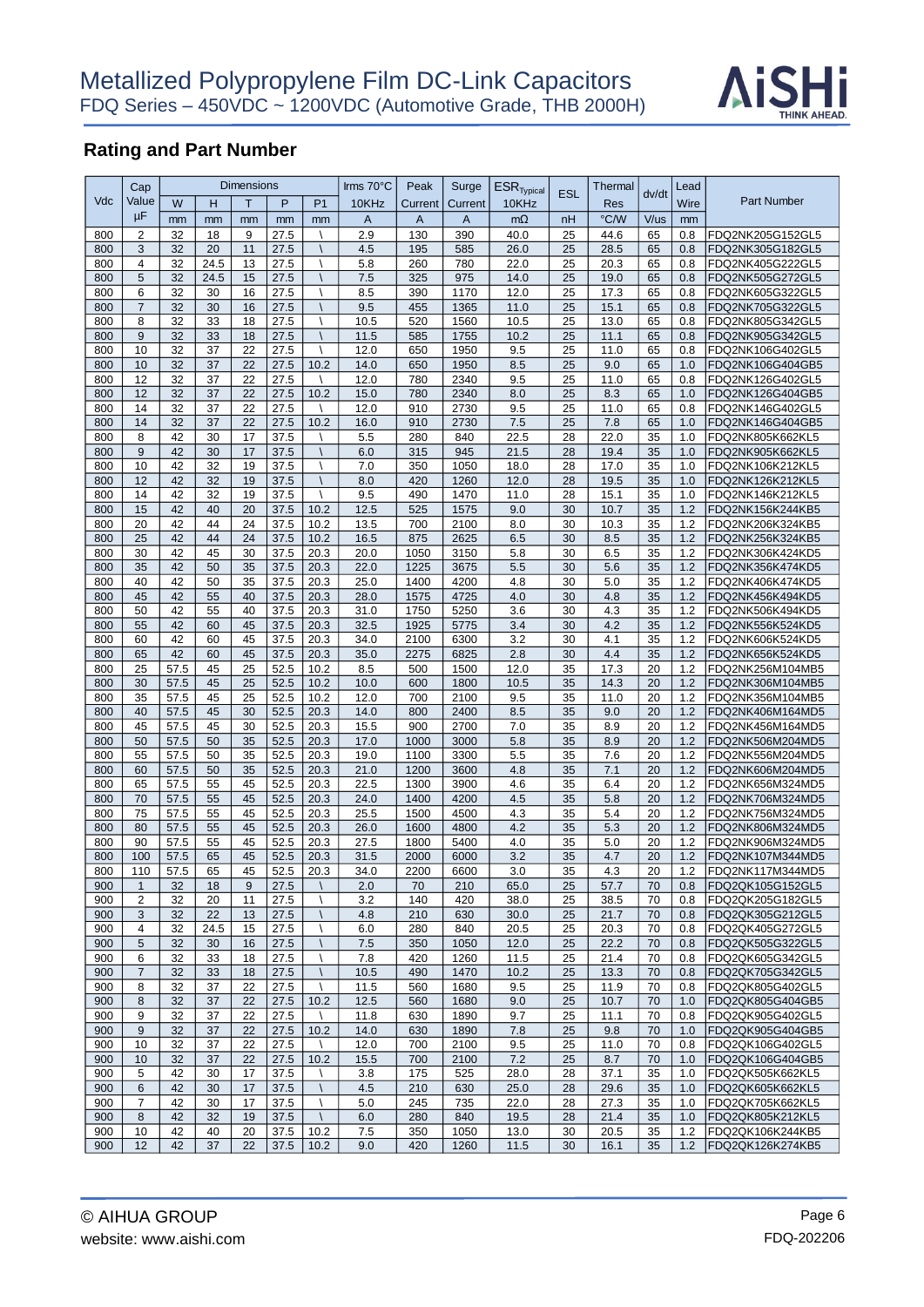

|            | Cap            |              |          | <b>Dimensions</b> |              |                             | Irms 70°C    | Peak         | Surge        | $ESR$ <sub>Typical</sub> | <b>ESL</b> | Thermal    |          | Lead       |                                      |
|------------|----------------|--------------|----------|-------------------|--------------|-----------------------------|--------------|--------------|--------------|--------------------------|------------|------------|----------|------------|--------------------------------------|
| Vdc        | Value          | W            | Η        | T                 | P            | P <sub>1</sub>              | 10KHz        | Current      | Current      | 10KHz                    |            | Res        | dv/dt    | Wire       | <b>Part Number</b>                   |
|            | μF             | mm           | mm       | mm                | mm           | mm                          | A            | $\mathsf{A}$ | $\mathsf{A}$ | $m\Omega$                | nH         | °C/W       | V/us     | mm         |                                      |
| 800        | $\overline{2}$ | 32           | 18       | 9                 | 27.5         |                             | 2.9          | 130          | 390          | 40.0                     | 25         | 44.6       | 65       | 0.8        | FDQ2NK205G152GL5                     |
| 800        | 3              | 32           | 20       | 11                | 27.5         |                             | 4.5          | 195          | 585          | 26.0                     | 25         | 28.5       | 65       | 0.8        | FDQ2NK305G182GL5                     |
| 800        | $\overline{4}$ | 32           | 24.5     | 13                | 27.5         |                             | 5.8          | 260          | 780          | 22.0                     | 25         | 20.3       | 65       | 0.8        | FDQ2NK405G222GL5                     |
| 800        | 5              | 32           | 24.5     | 15                | 27.5         |                             | 7.5          | 325          | 975          | 14.0                     | 25         | 19.0       | 65       | 0.8        | FDQ2NK505G272GL5                     |
| 800        | 6              | 32           | 30       | 16                | 27.5         |                             | 8.5          | 390          | 1170         | 12.0                     | 25         | 17.3       | 65       | 0.8        | FDQ2NK605G322GL5                     |
| 800        | $\overline{7}$ | 32           | 30       | 16                | 27.5         |                             | 9.5          | 455          | 1365         | 11.0                     | 25         | 15.1       | 65       | 0.8        | FDQ2NK705G322GL5                     |
| 800        | 8              | 32           | 33       | 18                | 27.5         | $\lambda$                   | 10.5         | 520          | 1560         | 10.5                     | 25         | 13.0       | 65       | 0.8        | FDQ2NK805G342GL5                     |
| 800        | 9              | 32           | 33       | 18                | 27.5         |                             | 11.5         | 585          | 1755         | 10.2                     | 25         | 11.1       | 65       | 0.8        | FDQ2NK905G342GL5                     |
| 800        | 10             | 32           | 37       | 22                | 27.5         | $\lambda$                   | 12.0         | 650          | 1950         | 9.5                      | 25         | 11.0       | 65       | 0.8        | FDQ2NK106G402GL5                     |
| 800        | 10             | 32           | 37       | 22                | 27.5         | 10.2                        | 14.0         | 650          | 1950         | 8.5                      | 25         | 9.0        | 65       | 1.0        | FDQ2NK106G404GB5                     |
| 800        | 12             | 32           | 37       | 22                | 27.5         |                             | 12.0         | 780          | 2340         | 9.5                      | 25         | 11.0       | 65       | 0.8        | FDQ2NK126G402GL5                     |
| 800        | 12             | 32           | 37       | 22                | 27.5         | 10.2                        | 15.0         | 780          | 2340         | 8.0                      | 25         | 8.3        | 65       | 1.0        | FDQ2NK126G404GB5                     |
| 800        | 14             | 32           | 37       | 22                | 27.5         |                             | 12.0         | 910          | 2730         | 9.5                      | 25         | 11.0       | 65       | 0.8        | FDQ2NK146G402GL5                     |
| 800        | 14             | 32           | 37       | 22                | 27.5         | 10.2                        | 16.0         | 910          | 2730         | 7.5                      | 25         | 7.8        | 65       | 1.0        | FDQ2NK146G404GB5                     |
| 800        | 8              | 42           | 30       | 17                | 37.5         |                             | 5.5          | 280          | 840          | 22.5                     | 28         | 22.0       | 35       | 1.0        | FDQ2NK805K662KL5                     |
| 800        | 9              | 42           | 30       | 17                | 37.5         |                             | 6.0          | 315          | 945          | 21.5                     | 28         | 19.4       | 35       | 1.0        | FDQ2NK905K662KL5                     |
| 800        | 10             | 42           | 32       | 19                | 37.5         | Λ                           | 7.0          | 350          | 1050         | 18.0                     | 28         | 17.0       | 35       | 1.0        | FDQ2NK106K212KL5                     |
| 800        | 12             | 42           | 32       | 19                | 37.5         | $\sqrt{2}$                  | 8.0          | 420          | 1260         | 12.0                     | 28         | 19.5       | 35       | 1.0        | FDQ2NK126K212KL5                     |
| 800        | 14             | 42           | 32       | 19                | 37.5         | Λ                           | 9.5          | 490          | 1470         | 11.0                     | 28         | 15.1       | 35       | 1.0        | FDQ2NK146K212KL5                     |
| 800        | 15             | 42           | 40       | 20                | 37.5         | 10.2                        | 12.5         | 525          | 1575         | 9.0                      | 30         | 10.7       | 35       | 1.2        | FDQ2NK156K244KB5                     |
| 800        | 20             | 42           | 44       | 24                | 37.5         | 10.2                        | 13.5         | 700          | 2100         | 8.0                      | 30         | 10.3       | 35       | 1.2        | FDQ2NK206K324KB5                     |
| 800        | 25             | 42           | 44       | 24                | 37.5         | 10.2                        | 16.5         | 875          | 2625         | 6.5                      | 30         | 8.5        | 35       | 1.2        | FDQ2NK256K324KB5                     |
| 800        | 30             | 42           | 45       | 30                | 37.5         | 20.3                        | 20.0         | 1050         | 3150         | 5.8                      | 30         | 6.5        | 35       | 1.2        | FDQ2NK306K424KD5                     |
| 800        | 35             | 42           | 50       | 35                | 37.5         | 20.3                        | 22.0         | 1225         | 3675         | 5.5                      | 30         | 5.6        | 35       | 1.2        | FDQ2NK356K474KD5                     |
| 800        | 40             | 42           | 50       | 35                | 37.5         | 20.3                        | 25.0         | 1400         | 4200         | 4.8                      | 30         | 5.0        | 35       | 1.2        | FDQ2NK406K474KD5                     |
| 800        | 45             | 42           | 55       | 40                | 37.5         | 20.3                        | 28.0         | 1575         | 4725         | 4.0                      | 30         | 4.8        | 35       | 1.2        | FDQ2NK456K494KD5                     |
| 800        | 50             | 42           | 55       | 40                | 37.5         | 20.3                        | 31.0         | 1750         | 5250         | 3.6                      | 30         | 4.3        | 35       | 1.2        | FDQ2NK506K494KD5                     |
| 800        | 55             | 42           | 60       | 45                | 37.5         | 20.3                        | 32.5         | 1925         | 5775         | 3.4                      | 30         | 4.2        | 35       | 1.2        | FDQ2NK556K524KD5                     |
| 800        | 60             | 42           | 60       | 45                | 37.5         | 20.3                        | 34.0         | 2100         | 6300         | 3.2                      | 30         | 4.1        | 35       | 1.2        | FDQ2NK606K524KD5                     |
| 800        | 65             | 42           | 60       | 45                | 37.5         | 20.3                        | 35.0         | 2275         | 6825         | 2.8                      | 30         | 4.4        | 35       | 1.2        | FDQ2NK656K524KD5                     |
| 800        | 25             | 57.5         | 45       | 25                | 52.5         | 10.2                        | 8.5          | 500          | 1500         | 12.0                     | 35         | 17.3       | 20       | 1.2        | FDQ2NK256M104MB5                     |
| 800        | 30             | 57.5         | 45       | 25                | 52.5         | 10.2                        | 10.0         | 600          | 1800         | 10.5                     | 35         | 14.3       | 20       | 1.2        | FDQ2NK306M104MB5                     |
| 800        | 35             | 57.5         | 45<br>45 | 25                | 52.5         | 10.2                        | 12.0         | 700          | 2100         | 9.5                      | 35         | 11.0       | 20       | 1.2        | FDQ2NK356M104MB5                     |
| 800        | 40             | 57.5         |          | 30                | 52.5         | 20.3                        | 14.0         | 800          | 2400         | 8.5                      | 35         | 9.0        | 20       | 1.2        | FDQ2NK406M164MD5                     |
| 800<br>800 | 45<br>50       | 57.5<br>57.5 | 45<br>50 | 30<br>35          | 52.5<br>52.5 | 20.3<br>20.3                | 15.5         | 900<br>1000  | 2700<br>3000 | 7.0<br>5.8               | 35<br>35   | 8.9<br>8.9 | 20<br>20 | 1.2<br>1.2 | FDQ2NK456M164MD5<br>FDQ2NK506M204MD5 |
| 800        | 55             | 57.5         | 50       | 35                | 52.5         | 20.3                        | 17.0<br>19.0 | 1100         | 3300         | 5.5                      | 35         | 7.6        | 20       | 1.2        | FDQ2NK556M204MD5                     |
| 800        | 60             | 57.5         | 50       | 35                | 52.5         | 20.3                        | 21.0         | 1200         | 3600         | 4.8                      | 35         | 7.1        | 20       | 1.2        | FDQ2NK606M204MD5                     |
| 800        | 65             | 57.5         | 55       | 45                | 52.5         | 20.3                        | 22.5         | 1300         | 3900         | 4.6                      | 35         | 6.4        | 20       | 1.2        | FDQ2NK656M324MD5                     |
| 800        | 70             | 57.5         | 55       | 45                | 52.5         | 20.3                        | 24.0         | 1400         | 4200         | 4.5                      | 35         | 5.8        | 20       | 1.2        | FDQ2NK706M324MD5                     |
| 800        | 75             | 57.5         | 55       | 45                | 52.5         | 20.3                        | 25.5         | 1500         | 4500         | 4.3                      | 35         | 5.4        | 20       | 1.2        | FDQ2NK756M324MD5                     |
| 800        | 80             | 57.5         | 55       | 45                | 52.5         | 20.3                        | 26.0         | 1600         | 4800         | 4.2                      | 35         | 5.3        | 20       | 1.2        | FDQ2NK806M324MD5                     |
| 800        | 90             | 57.5         | 55       | 45                | 52.5         | 20.3                        | 27.5         | 1800         | 5400         | 4.0                      | 35         | 5.0        | 20       | 1.2        | FDQ2NK906M324MD5                     |
| 800        | 100            | 57.5         | 65       | 45                | 52.5         | 20.3                        | 31.5         | 2000         | 6000         | 3.2                      | 35         | 4.7        | 20       | 1.2        | FDQ2NK107M344MD5                     |
| 800        | 110            | 57.5         | 65       | 45                | 52.5         | 20.3                        | 34.0         | 2200         | 6600         | 3.0                      | 35         | 4.3        | 20       | 1.2        | FDQ2NK117M344MD5                     |
| 900        | $\mathbf{1}$   | 32           | 18       | 9                 | 27.5         | $\overline{\phantom{a}}$    | 2.0          | 70           | 210          | 65.0                     | 25         | 57.7       | 70       | 0.8        | FDQ2QK105G152GL5                     |
| 900        | 2              | 32           | 20       | 11                | 27.5         |                             | 3.2          | 140          | 420          | 38.0                     | 25         | 38.5       | 70       | 0.8        | FDQ2QK205G182GL5                     |
| 900        | 3              | 32           | 22       | 13                | 27.5         | $\mathcal{L}_{\mathcal{L}}$ | 4.8          | 210          | 630          | 30.0                     | 25         | 21.7       | 70       | 0.8        | FDQ2QK305G212GL5                     |
| 900        | 4              | 32           | 24.5     | 15                | 27.5         | Λ                           | 6.0          | 280          | 840          | 20.5                     | 25         | 20.3       | 70       | 0.8        | FDQ2QK405G272GL5                     |
| 900        | 5              | 32           | 30       | 16                | 27.5         |                             | 7.5          | 350          | 1050         | 12.0                     | 25         | 22.2       | 70       | 0.8        | FDQ2QK505G322GL5                     |
| 900        | 6              | 32           | 33       | 18                | 27.5         |                             | 7.8          | 420          | 1260         | 11.5                     | 25         | 21.4       | 70       | 0.8        | FDQ2QK605G342GL5                     |
| 900        | $\overline{7}$ | 32           | 33       | 18                | 27.5         |                             | 10.5         | 490          | 1470         | 10.2                     | 25         | 13.3       | 70       | 0.8        | FDQ2QK705G342GL5                     |
| 900        | 8              | 32           | 37       | 22                | 27.5         |                             | 11.5         | 560          | 1680         | 9.5                      | 25         | 11.9       | 70       | 0.8        | FDQ2QK805G402GL5                     |
| 900        | 8              | 32           | 37       | 22                | 27.5         | 10.2                        | 12.5         | 560          | 1680         | 9.0                      | 25         | 10.7       | 70       | 1.0        | FDQ2QK805G404GB5                     |
| 900        | 9              | 32           | 37       | 22                | 27.5         | $\lambda$                   | 11.8         | 630          | 1890         | 9.7                      | 25         | 11.1       | 70       | 0.8        | FDQ2QK905G402GL5                     |
| 900        | 9              | 32           | 37       | 22                | 27.5         | 10.2                        | 14.0         | 630          | 1890         | 7.8                      | 25         | 9.8        | 70       | 1.0        | FDQ2QK905G404GB5                     |
| 900        | 10             | 32           | 37       | 22                | 27.5         | Λ                           | 12.0         | 700          | 2100         | 9.5                      | 25         | 11.0       | 70       | 0.8        | FDQ2QK106G402GL5                     |
| 900        | 10             | 32           | 37       | 22                | 27.5         | 10.2                        | 15.5         | 700          | 2100         | 7.2                      | 25         | 8.7        | 70       | 1.0        | FDQ2QK106G404GB5                     |
| 900        | 5              | 42           | 30       | 17                | 37.5         | Λ                           | 3.8          | 175          | 525          | 28.0                     | 28         | 37.1       | 35       | 1.0        | FDQ2QK505K662KL5                     |
| 900        | 6              | 42           | 30       | 17                | 37.5         |                             | 4.5          | 210          | 630          | 25.0                     | 28         | 29.6       | 35       | 1.0        | FDQ2QK605K662KL5                     |
| 900        | $\overline{7}$ | 42           | 30       | 17                | 37.5         |                             | 5.0          | 245          | 735          | 22.0                     | 28         | 27.3       | 35       | 1.0        | FDQ2QK705K662KL5                     |
| 900        | 8              | 42           | 32       | 19                | 37.5         |                             | 6.0          | 280          | 840          | 19.5                     | 28         | 21.4       | 35       | 1.0        | FDQ2QK805K212KL5                     |
| 900        | 10             | 42           | 40       | 20                | 37.5         | 10.2                        | 7.5          | 350          | 1050         | 13.0                     | 30         | 20.5       | 35       | 1.2        | FDQ2QK106K244KB5                     |
| 900        | 12             | 42           | 37       | 22                | 37.5         | 10.2                        | 9.0          | 420          | 1260         | 11.5                     | 30         | 16.1       | 35       | 1.2        | FDQ2QK126K274KB5                     |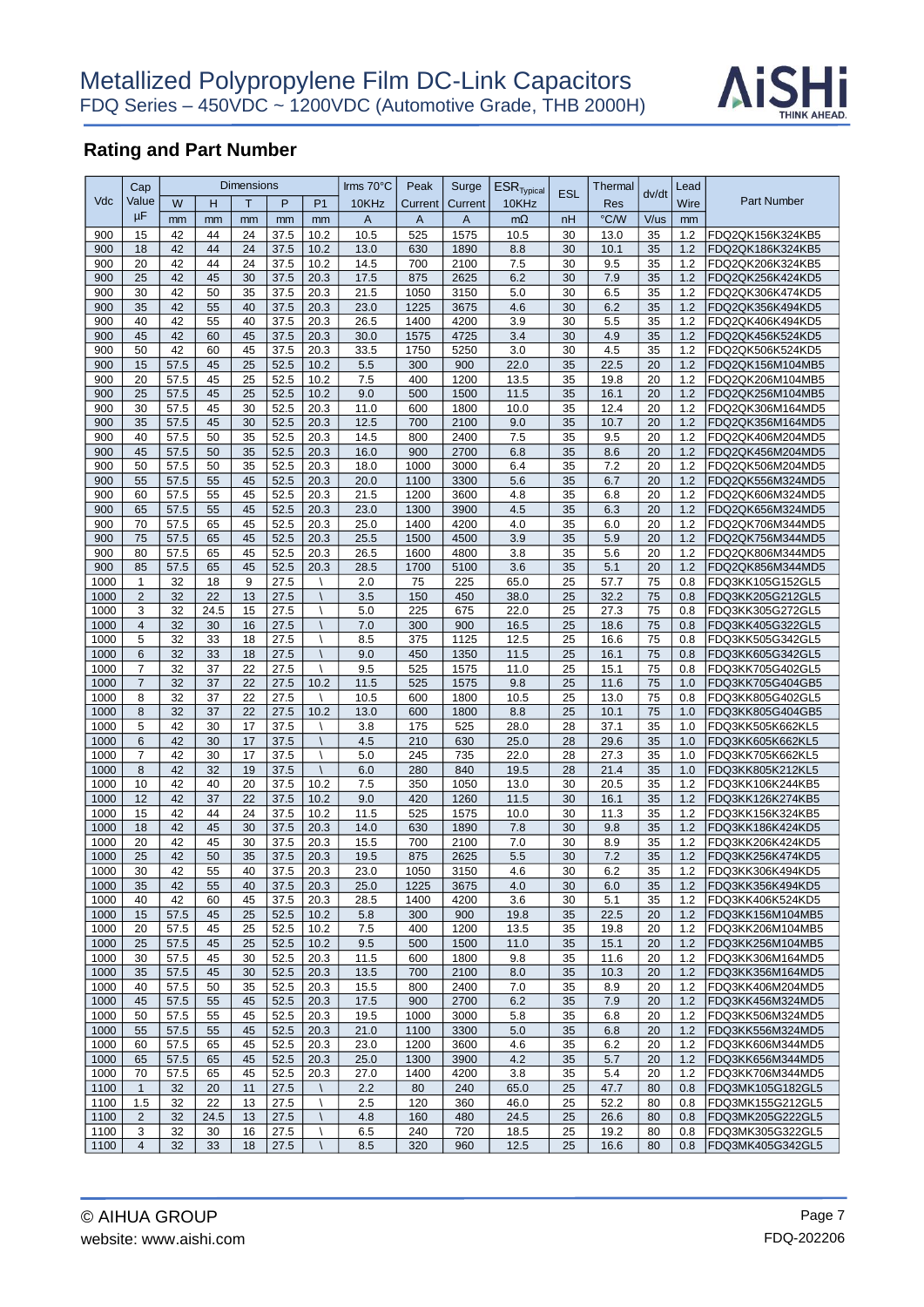

|              | Cap                            |              |          | <b>Dimensions</b> |              |                | Irms 70°C    | Peak           | Surge        | $ESR$ <sub>Typical</sub> | <b>ESL</b> | Thermal      |          | Lead       |                                      |
|--------------|--------------------------------|--------------|----------|-------------------|--------------|----------------|--------------|----------------|--------------|--------------------------|------------|--------------|----------|------------|--------------------------------------|
| Vdc          | Value                          | W            | н        | T                 | P            | P <sub>1</sub> | 10KHz        | Current        | Current      | 10KHz                    |            | Res          | dv/dt    | Wire       | <b>Part Number</b>                   |
|              | μF                             | mm           | mm       | mm                | mm           | mm             | A            | $\overline{A}$ | A            | $m\Omega$                | nH         | °C/W         | V/us     | mm         |                                      |
| 900          | 15                             | 42           | 44       | 24                | 37.5         | 10.2           | 10.5         | 525            | 1575         | 10.5                     | 30         | 13.0         | 35       | 1.2        | FDQ2QK156K324KB5                     |
| 900          | 18                             | 42           | 44       | 24                | 37.5         | 10.2           | 13.0         | 630            | 1890         | 8.8                      | 30         | 10.1         | 35       | 1.2        | FDQ2QK186K324KB5                     |
| 900          | 20                             | 42           | 44       | 24                | 37.5         | 10.2           | 14.5         | 700            | 2100         | 7.5                      | 30         | 9.5          | 35       | 1.2        | FDQ2QK206K324KB5                     |
| 900          | 25                             | 42           | 45       | 30                | 37.5         | 20.3           | 17.5         | 875            | 2625         | 6.2                      | 30         | 7.9          | 35       | 1.2        | FDQ2QK256K424KD5                     |
| 900          | 30                             | 42           | 50       | 35                | 37.5         | 20.3           | 21.5         | 1050           | 3150         | 5.0                      | 30         | 6.5          | 35       | 1.2        | FDQ2QK306K474KD5                     |
| 900          | 35                             | 42           | 55       | 40                | 37.5         | 20.3           | 23.0         | 1225           | 3675         | 4.6                      | 30         | 6.2          | 35       | 1.2        | FDQ2QK356K494KD5                     |
| 900          | 40                             | 42           | 55       | 40                | 37.5         | 20.3           | 26.5         | 1400           | 4200         | 3.9                      | 30         | 5.5          | 35       | 1.2        | FDQ2QK406K494KD5                     |
| 900          | 45                             | 42           | 60       | 45                | 37.5         | 20.3           | 30.0         | 1575           | 4725         | 3.4                      | 30         | 4.9          | 35       | 1.2        | FDQ2QK456K524KD5                     |
| 900          | 50                             | 42           | 60       | 45                | 37.5         | 20.3           | 33.5         | 1750           | 5250         | 3.0                      | 30         | 4.5          | 35       | 1.2        | FDQ2QK506K524KD5                     |
| 900          | 15                             | 57.5         | 45       | 25                | 52.5         | 10.2           | 5.5          | 300            | 900          | 22.0                     | 35         | 22.5         | 20       | 1.2        | FDQ2QK156M104MB5                     |
| 900          | 20                             | 57.5         | 45       | 25                | 52.5         | 10.2           | 7.5          | 400            | 1200         | 13.5                     | 35         | 19.8         | 20       | 1.2        | FDQ2QK206M104MB5                     |
| 900          | 25                             | 57.5         | 45       | 25                | 52.5         | 10.2           | 9.0          | 500            | 1500         | 11.5                     | 35         | 16.1         | 20       | 1.2        | FDQ2QK256M104MB5                     |
| 900          | 30                             | 57.5         | 45       | 30                | 52.5         | 20.3           | 11.0         | 600            | 1800         | 10.0                     | 35         | 12.4         | 20       | 1.2        | FDQ2QK306M164MD5                     |
| 900          | 35                             | 57.5         | 45       | 30                | 52.5         | 20.3           | 12.5         | 700            | 2100         | 9.0                      | 35         | 10.7         | 20       | 1.2        | FDQ2QK356M164MD5                     |
| 900          | 40                             | 57.5         | 50       | 35                | 52.5         | 20.3           | 14.5         | 800            | 2400         | 7.5                      | 35         | 9.5          | 20       | 1.2        | FDQ2QK406M204MD5                     |
| 900          | 45                             | 57.5         | 50       | 35                | 52.5         | 20.3           | 16.0         | 900            | 2700         | 6.8                      | 35         | 8.6          | 20       | 1.2        | FDQ2QK456M204MD5                     |
| 900          | 50                             | 57.5         | 50       | 35                | 52.5         | 20.3           | 18.0         | 1000           | 3000         | 6.4                      | 35         | 7.2          | 20       | 1.2        | FDQ2QK506M204MD5                     |
| 900          | 55                             | 57.5         | 55       | 45                | 52.5         | 20.3           | 20.0         | 1100           | 3300         | 5.6                      | 35         | 6.7          | 20       | 1.2        | FDQ2QK556M324MD5                     |
| 900          | 60                             | 57.5         | 55       | 45                | 52.5         | 20.3           | 21.5         | 1200           | 3600         | 4.8                      | 35         | 6.8          | 20       | 1.2        | FDQ2QK606M324MD5                     |
| 900          | 65                             | 57.5         | 55       | 45                | 52.5         | 20.3           | 23.0         | 1300           | 3900         | 4.5                      | 35         | 6.3          | 20       | 1.2        | FDQ2QK656M324MD5                     |
| 900          | 70                             | 57.5         | 65       | 45                | 52.5         | 20.3           | 25.0         | 1400           | 4200         | 4.0                      | 35         | 6.0          | 20       | 1.2        | FDQ2QK706M344MD5                     |
| 900          | 75                             | 57.5         | 65       | 45                | 52.5         | 20.3           | 25.5         | 1500           | 4500         | 3.9                      | 35         | 5.9          | 20       | 1.2        | FDQ2QK756M344MD5                     |
| 900          | 80                             | 57.5         | 65       | 45                | 52.5         | 20.3           | 26.5         | 1600           | 4800         | 3.8                      | 35         | 5.6          | 20       | 1.2        | FDQ2QK806M344MD5                     |
| 900          | 85                             | 57.5         | 65       | 45                | 52.5         | 20.3           | 28.5         | 1700           | 5100         | 3.6                      | 35         | 5.1          | 20       | 1.2        | FDQ2QK856M344MD5                     |
| 1000         | $\mathbf{1}$<br>$\overline{2}$ | 32<br>32     | 18<br>22 | 9<br>13           | 27.5<br>27.5 |                | 2.0          | 75             | 225<br>450   | 65.0<br>38.0             | 25<br>25   | 57.7<br>32.2 | 75       | 0.8        | FDQ3KK105G152GL5<br>FDQ3KK205G212GL5 |
| 1000<br>1000 | 3                              | 32           | 24.5     | 15                | 27.5         |                | 3.5<br>5.0   | 150<br>225     | 675          | 22.0                     | 25         | 27.3         | 75<br>75 | 0.8<br>0.8 | FDQ3KK305G272GL5                     |
| 1000         | $\overline{4}$                 | 32           | 30       | 16                | 27.5         |                | 7.0          | 300            | 900          |                          | 25         |              | 75       | 0.8        |                                      |
| 1000         | $\sqrt{5}$                     | 32           | 33       | 18                | 27.5         |                | 8.5          | 375            | 1125         | 16.5<br>12.5             | 25         | 18.6<br>16.6 | 75       | 0.8        | FDQ3KK405G322GL5<br>FDQ3KK505G342GL5 |
| 1000         | 6                              | 32           | 33       | 18                | 27.5         |                | 9.0          | 450            | 1350         | 11.5                     | 25         | 16.1         | 75       | 0.8        | FDQ3KK605G342GL5                     |
| 1000         | $\overline{7}$                 | 32           | 37       | 22                | 27.5         |                | 9.5          | 525            | 1575         | 11.0                     | 25         | 15.1         | 75       | 0.8        | FDQ3KK705G402GL5                     |
| 1000         | $\overline{7}$                 | 32           | 37       | 22                | 27.5         | 10.2           | 11.5         | 525            | 1575         | 9.8                      | 25         | 11.6         | 75       | 1.0        | FDQ3KK705G404GB5                     |
| 1000         | 8                              | 32           | 37       | 22                | 27.5         |                | 10.5         | 600            | 1800         | 10.5                     | 25         | 13.0         | 75       | 0.8        | FDQ3KK805G402GL5                     |
| 1000         | 8                              | 32           | 37       | 22                | 27.5         | 10.2           | 13.0         | 600            | 1800         | 8.8                      | 25         | 10.1         | 75       | 1.0        | FDQ3KK805G404GB5                     |
| 1000         | 5                              | 42           | 30       | 17                | 37.5         |                | 3.8          | 175            | 525          | 28.0                     | 28         | 37.1         | 35       | 1.0        | FDQ3KK505K662KL5                     |
| 1000         | $6\phantom{1}$                 | 42           | 30       | 17                | 37.5         |                | 4.5          | 210            | 630          | 25.0                     | 28         | 29.6         | 35       | 1.0        | FDQ3KK605K662KL5                     |
| 1000         | $\overline{7}$                 | 42           | 30       | 17                | 37.5         | Λ              | 5.0          | 245            | 735          | 22.0                     | 28         | 27.3         | 35       | 1.0        | FDQ3KK705K662KL5                     |
| 1000         | 8                              | 42           | 32       | 19                | 37.5         | $\sqrt{2}$     | 6.0          | 280            | 840          | 19.5                     | 28         | 21.4         | 35       | 1.0        | FDQ3KK805K212KL5                     |
| 1000         | 10                             | 42           | 40       | 20                | 37.5         | 10.2           | 7.5          | 350            | 1050         | 13.0                     | 30         | 20.5         | 35       | 1.2        | FDQ3KK106K244KB5                     |
| 1000         | 12                             | 42           | 37       | 22                | 37.5         | 10.2           | 9.0          | 420            | 1260         | 11.5                     | 30         | 16.1         | 35       | 1.2        | FDQ3KK126K274KB5                     |
| 1000         | 15                             | 42           | 44       | 24                | 37.5         | 10.2           | 11.5         | 525            | 1575         | 10.0                     | 30         | 11.3         | 35       | 1.2        | FDQ3KK156K324KB5                     |
| 1000         | 18                             | 42           | 45       | 30                | 37.5         | 20.3           | 14.0         | 630            | 1890         | 7.8                      | 30         | 9.8          | 35       | 1.2        | FDQ3KK186K424KD5                     |
| 1000         | 20                             | 42           | 45       | 30                | 37.5         | 20.3           | 15.5         | 700            | 2100         | 7.0                      | 30         | 8.9          | 35       | 1.2        | FDQ3KK206K424KD5                     |
| 1000         | 25                             | 42           | 50       | 35                | 37.5         | 20.3           | 19.5         | 875            | 2625         | 5.5                      | 30         | 7.2          | 35       | 1.2        | FDQ3KK256K474KD5                     |
| 1000         | 30                             | 42           | 55       | 40                | 37.5         | 20.3           | 23.0         | 1050           | 3150         | 4.6                      | 30         | 6.2          | 35       | 1.2        | FDQ3KK306K494KD5                     |
| 1000         | 35                             | 42           | 55       | 40                | 37.5         | 20.3           | 25.0         | 1225           | 3675         | 4.0                      | 30         | 6.0          | 35       | 1.2        | FDQ3KK356K494KD5                     |
| 1000         | 40                             | 42           | 60       | 45                | 37.5         | 20.3           | 28.5         | 1400           | 4200         | 3.6                      | 30         | 5.1          | 35       | 1.2        | FDQ3KK406K524KD5                     |
| 1000         | 15                             | 57.5         | 45       | 25                | 52.5         | 10.2           | 5.8          | 300            | 900          | 19.8                     | 35         | 22.5         | 20       | 1.2        | FDQ3KK156M104MB5                     |
| 1000         | 20                             | 57.5         | 45       | 25                | 52.5         | 10.2           | 7.5          | 400            | 1200         | 13.5                     | 35         | 19.8         | 20       | 1.2        | FDQ3KK206M104MB5                     |
| 1000         | 25                             | 57.5         | 45       | 25                | 52.5         | 10.2           | 9.5          | 500            | 1500         | 11.0                     | 35         | 15.1         | 20       | 1.2        | FDQ3KK256M104MB5                     |
| 1000<br>1000 | 30<br>35                       | 57.5<br>57.5 | 45<br>45 | 30                | 52.5         | 20.3           | 11.5         | 600            | 1800<br>2100 | 9.8<br>8.0               | 35<br>35   | 11.6         | 20<br>20 | 1.2<br>1.2 | FDQ3KK306M164MD5                     |
|              |                                |              |          | 30                | 52.5         | 20.3           | 13.5         | 700            |              |                          |            | 10.3         |          |            | FDQ3KK356M164MD5                     |
| 1000         | 40                             | 57.5         | 50       | 35                | 52.5         | 20.3           | 15.5         | 800            | 2400         | 7.0                      | 35         | 8.9          | 20       | 1.2        | FDQ3KK406M204MD5                     |
| 1000         | 45                             | 57.5         | 55       | 45<br>45          | 52.5         | 20.3           | 17.5         | 900            | 2700         | 6.2                      | 35         | 7.9          | 20<br>20 | 1.2        | FDQ3KK456M324MD5<br>FDQ3KK506M324MD5 |
| 1000<br>1000 | 50<br>55                       | 57.5<br>57.5 | 55<br>55 | 45                | 52.5<br>52.5 | 20.3<br>20.3   | 19.5<br>21.0 | 1000<br>1100   | 3000<br>3300 | 5.8<br>5.0               | 35<br>35   | 6.8<br>6.8   | 20       | 1.2<br>1.2 | FDQ3KK556M324MD5                     |
| 1000         | 60                             | 57.5         | 65       | 45                | 52.5         | 20.3           | 23.0         | 1200           | 3600         | 4.6                      | 35         | 6.2          | 20       | 1.2        | FDQ3KK606M344MD5                     |
| 1000         | 65                             | 57.5         | 65       | 45                | 52.5         | 20.3           | 25.0         | 1300           | 3900         | 4.2                      | 35         | 5.7          | 20       | 1.2        | FDQ3KK656M344MD5                     |
| 1000         | 70                             | 57.5         | 65       | 45                | 52.5         | 20.3           | 27.0         | 1400           | 4200         | 3.8                      | 35         | 5.4          | 20       | 1.2        | FDQ3KK706M344MD5                     |
| 1100         | $\mathbf{1}$                   | 32           | 20       | 11                | 27.5         |                | 2.2          | 80             | 240          | 65.0                     | 25         | 47.7         | 80       | 0.8        | FDQ3MK105G182GL5                     |
| 1100         | 1.5                            | 32           | 22       | 13                | 27.5         |                | 2.5          | 120            | 360          | 46.0                     | 25         | 52.2         | 80       | 0.8        | FDQ3MK155G212GL5                     |
| 1100         | 2                              | 32           | 24.5     | 13                | 27.5         |                | 4.8          | 160            | 480          | 24.5                     | 25         | 26.6         | 80       | 0.8        | FDQ3MK205G222GL5                     |
| 1100         | 3                              | 32           | 30       | 16                | 27.5         |                | 6.5          | 240            | 720          | 18.5                     | 25         | 19.2         | 80       | 0.8        | FDQ3MK305G322GL5                     |
| 1100         | $\overline{4}$                 | 32           | 33       | 18                | 27.5         |                | 8.5          | 320            | 960          | 12.5                     | 25         | 16.6         | 80       | 0.8        | FDQ3MK405G342GL5                     |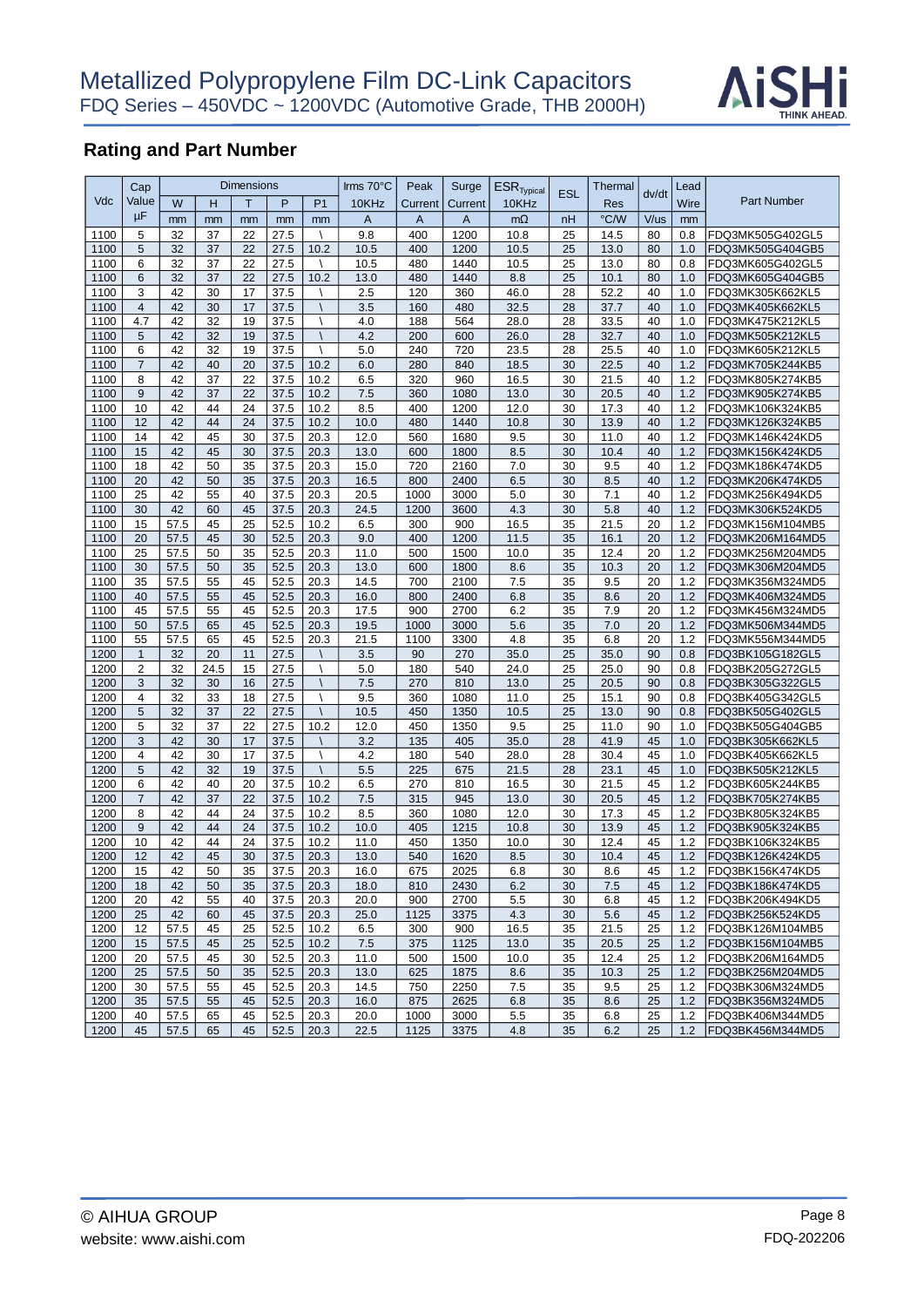

| $ESR$ <sub>Typical</sub><br><b>ESL</b><br>dv/dt<br>Vdc<br>Value<br>W<br>Η<br>T<br>P<br>P <sub>1</sub><br>10KHz<br>Current<br>10KHz<br>Wire<br>Current<br>Res<br>μF<br>°C/W<br>V/us<br>A<br>$\mathsf{A}$<br>$m\Omega$<br>mm<br>A<br>nH<br>mm<br>mm<br>mm<br>mm<br>mm<br>5<br>32<br>37<br>22<br>27.5<br>9.8<br>400<br>1200<br>10.8<br>25<br>14.5<br>80<br>0.8<br>1100<br>5<br>37<br>32<br>22<br>27.5<br>10.2<br>10.5<br>400<br>1200<br>10.5<br>25<br>13.0<br>1.0<br>1100<br>80<br>1100<br>32<br>37<br>22<br>27.5<br>480<br>1440<br>80<br>6<br>10.5<br>10.5<br>25<br>13.0<br>0.8<br>$\lambda$ | <b>Part Number</b><br>FDQ3MK505G402GL5 |
|--------------------------------------------------------------------------------------------------------------------------------------------------------------------------------------------------------------------------------------------------------------------------------------------------------------------------------------------------------------------------------------------------------------------------------------------------------------------------------------------------------------------------------------------------------------------------------------------|----------------------------------------|
|                                                                                                                                                                                                                                                                                                                                                                                                                                                                                                                                                                                            |                                        |
|                                                                                                                                                                                                                                                                                                                                                                                                                                                                                                                                                                                            |                                        |
|                                                                                                                                                                                                                                                                                                                                                                                                                                                                                                                                                                                            |                                        |
|                                                                                                                                                                                                                                                                                                                                                                                                                                                                                                                                                                                            | FDQ3MK505G404GB5                       |
|                                                                                                                                                                                                                                                                                                                                                                                                                                                                                                                                                                                            | FDQ3MK605G402GL5                       |
| 37<br>1100<br>6<br>32<br>22<br>27.5<br>10.2<br>13.0<br>480<br>1440<br>8.8<br>25<br>10.1<br>80<br>1.0                                                                                                                                                                                                                                                                                                                                                                                                                                                                                       | FDQ3MK605G404GB5                       |
| 1100<br>3<br>42<br>30<br>17<br>37.5<br>2.5<br>120<br>360<br>46.0<br>28<br>52.2<br>40<br>1.0                                                                                                                                                                                                                                                                                                                                                                                                                                                                                                | FDQ3MK305K662KL5                       |
| 42<br>1100<br>$\overline{4}$<br>30<br>17<br>37.5<br>160<br>480<br>32.5<br>28<br>37.7<br>3.5<br>40<br>1.0                                                                                                                                                                                                                                                                                                                                                                                                                                                                                   | FDQ3MK405K662KL5                       |
| 42<br>4.7<br>32<br>19<br>37.5<br>4.0<br>28.0<br>40<br>1100<br>188<br>564<br>28<br>33.5<br>1.0<br>Ι                                                                                                                                                                                                                                                                                                                                                                                                                                                                                         | FDQ3MK475K212KL5                       |
| 1100<br>5<br>42<br>32<br>19<br>37.5<br>4.2<br>200<br>600<br>26.0<br>28<br>32.7<br>40<br>1.0                                                                                                                                                                                                                                                                                                                                                                                                                                                                                                | FDQ3MK505K212KL5                       |
| 6<br>42<br>32<br>19<br>37.5<br>5.0<br>240<br>720<br>23.5<br>28<br>25.5<br>40<br>1100<br>$\lambda$<br>1.0                                                                                                                                                                                                                                                                                                                                                                                                                                                                                   | FDQ3MK605K212KL5                       |
| 1100<br>$\overline{7}$<br>42<br>40<br>20<br>37.5<br>1.2<br>10.2<br>6.0<br>280<br>840<br>18.5<br>30<br>22.5<br>40                                                                                                                                                                                                                                                                                                                                                                                                                                                                           | FDQ3MK705K244KB5                       |
| 8<br>37<br>42<br>22<br>37.5<br>10.2<br>320<br>960<br>16.5<br>21.5<br>40<br>1.2<br>1100<br>6.5<br>30                                                                                                                                                                                                                                                                                                                                                                                                                                                                                        | FDQ3MK805K274KB5                       |
| 1100<br>9<br>42<br>37<br>22<br>37.5<br>10.2<br>13.0<br>40<br>1.2<br>7.5<br>360<br>1080<br>30<br>20.5                                                                                                                                                                                                                                                                                                                                                                                                                                                                                       | FDQ3MK905K274KB5                       |
| 10<br>$1100$<br>42<br>44<br>24<br>37.5<br>10.2<br>8.5<br>400<br>1200<br>12.0<br>30<br>17.3<br>40<br>1.2                                                                                                                                                                                                                                                                                                                                                                                                                                                                                    | FDQ3MK106K324KB5                       |
| 1100<br>12<br>42<br>44<br>24<br>37.5<br>10.2<br>480<br>1440<br>13.9<br>40<br>1.2<br>10.0<br>10.8<br>30                                                                                                                                                                                                                                                                                                                                                                                                                                                                                     | FDQ3MK126K324KB5                       |
| 42<br>45<br>9.5<br>1100<br>14<br>30<br>37.5<br>20.3<br>12.0<br>560<br>1680<br>30<br>11.0<br>40<br>1.2                                                                                                                                                                                                                                                                                                                                                                                                                                                                                      | FDQ3MK146K424KD5                       |
| 42<br>15<br>45<br>30<br>37.5<br>20.3<br>13.0<br>600<br>8.5<br>30<br>40<br>1.2<br>1100<br>1800<br>10.4                                                                                                                                                                                                                                                                                                                                                                                                                                                                                      | FDQ3MK156K424KD5                       |
| 42<br>35<br>37.5<br>20.3<br>1.2<br>1100<br>18<br>50<br>15.0<br>720<br>2160<br>7.0<br>30<br>9.5<br>40                                                                                                                                                                                                                                                                                                                                                                                                                                                                                       | FDQ3MK186K474KD5                       |
| 35<br>20<br>42<br>50<br>37.5<br>20.3<br>16.5<br>800<br>2400<br>6.5<br>30<br>8.5<br>40<br>1.2<br>1100                                                                                                                                                                                                                                                                                                                                                                                                                                                                                       | FDQ3MK206K474KD5                       |
| 1100<br>25<br>42<br>55<br>37.5<br>20.3<br>1.2<br>40<br>20.5<br>1000<br>3000<br>5.0<br>30<br>40<br>7.1                                                                                                                                                                                                                                                                                                                                                                                                                                                                                      | FDQ3MK256K494KD5                       |
| 30<br>42<br>45<br>4.3<br>60<br>37.5<br>20.3<br>24.5<br>1200<br>30<br>5.8<br>40<br>1.2<br>1100<br>3600                                                                                                                                                                                                                                                                                                                                                                                                                                                                                      | FDQ3MK306K524KD5                       |
| 1100<br>15<br>57.5<br>45<br>25<br>52.5<br>10.2<br>6.5<br>300<br>900<br>16.5<br>35<br>21.5<br>20<br>1.2                                                                                                                                                                                                                                                                                                                                                                                                                                                                                     | FDQ3MK156M104MB5                       |
| 20<br>57.5<br>45<br>20.3<br>11.5<br>1.2<br>1100<br>30<br>52.5<br>9.0<br>400<br>1200<br>35<br>16.1<br>20                                                                                                                                                                                                                                                                                                                                                                                                                                                                                    | FDQ3MK206M164MD5                       |
| 1100<br>25<br>57.5<br>50<br>35<br>52.5<br>20.3<br>11.0<br>500<br>1500<br>10.0<br>35<br>12.4<br>20<br>1.2                                                                                                                                                                                                                                                                                                                                                                                                                                                                                   | FDQ3MK256M204MD5                       |
| 1100<br>30<br>57.5<br>50<br>52.5<br>1.2<br>35<br>20.3<br>13.0<br>600<br>1800<br>8.6<br>35<br>10.3<br>20                                                                                                                                                                                                                                                                                                                                                                                                                                                                                    | FDQ3MK306M204MD5                       |
| 35<br>55<br>7.5<br>1100<br>57.5<br>45<br>52.5<br>20.3<br>14.5<br>700<br>2100<br>35<br>9.5<br>20<br>1.2                                                                                                                                                                                                                                                                                                                                                                                                                                                                                     | FDQ3MK356M324MD5                       |
| 1100<br>40<br>57.5<br>52.5<br>20.3<br>35<br>1.2<br>55<br>45<br>16.0<br>800<br>2400<br>6.8<br>8.6<br>20                                                                                                                                                                                                                                                                                                                                                                                                                                                                                     | FDQ3MK406M324MD5                       |
| 45<br>1100<br>45<br>57.5<br>55<br>52.5<br>20.3<br>17.5<br>900<br>2700<br>6.2<br>35<br>7.9<br>20<br>1.2                                                                                                                                                                                                                                                                                                                                                                                                                                                                                     | FDQ3MK456M324MD5                       |
| 1100<br>50<br>57.5<br>65<br>45<br>52.5<br>20.3<br>19.5<br>1000<br>3000<br>5.6<br>35<br>7.0<br>20<br>1.2                                                                                                                                                                                                                                                                                                                                                                                                                                                                                    | FDQ3MK506M344MD5                       |
| 55<br>57.5<br>45<br>20.3<br>1100<br>65<br>52.5<br>21.5<br>1100<br>4.8<br>35<br>6.8<br>20<br>1.2<br>3300                                                                                                                                                                                                                                                                                                                                                                                                                                                                                    | FDQ3MK556M344MD5                       |
| 1200<br>32<br>11<br>27.5<br>270<br>35.0<br>35.0<br>$\mathbf{1}$<br>20<br>3.5<br>90<br>25<br>90<br>0.8                                                                                                                                                                                                                                                                                                                                                                                                                                                                                      | FDQ3BK105G182GL5                       |
| 1200<br>$\overline{2}$<br>32<br>24.5<br>15<br>27.5<br>180<br>24.0<br>25<br>90<br>5.0<br>540<br>25.0<br>0.8                                                                                                                                                                                                                                                                                                                                                                                                                                                                                 | FDQ3BK205G272GL5                       |
| 32<br>1200<br>3<br>30<br>16<br>27.5<br>7.5<br>270<br>810<br>13.0<br>25<br>20.5<br>90<br>0.8                                                                                                                                                                                                                                                                                                                                                                                                                                                                                                | FDQ3BK305G322GL5                       |
| 1200<br>$\overline{4}$<br>32<br>33<br>18<br>27.5<br>9.5<br>360<br>1080<br>11.0<br>25<br>15.1<br>90<br>0.8                                                                                                                                                                                                                                                                                                                                                                                                                                                                                  | FDQ3BK405G342GL5                       |
| 5<br>32<br>37<br>22<br>1200<br>27.5<br>10.5<br>450<br>10.5<br>25<br>13.0<br>90<br>$\overline{\phantom{0}}$<br>1350<br>0.8                                                                                                                                                                                                                                                                                                                                                                                                                                                                  | FDQ3BK505G402GL5                       |
| 1200<br>5<br>37<br>450<br>32<br>22<br>27.5<br>10.2<br>12.0<br>1350<br>9.5<br>25<br>11.0<br>90<br>1.0                                                                                                                                                                                                                                                                                                                                                                                                                                                                                       | FDQ3BK505G404GB5                       |
| 1200<br>3<br>42<br>30<br>17<br>37.5<br>3.2<br>135<br>35.0<br>28<br>41.9<br>45<br>405<br>1.0<br>$\overline{4}$                                                                                                                                                                                                                                                                                                                                                                                                                                                                              | FDQ3BK305K662KL5                       |
| 1200<br>42<br>30<br>17<br>37.5<br>540<br>30.4<br>45<br>4.2<br>180<br>28.0<br>28<br>1.0<br>$5\phantom{.0}$<br>$\lambda$                                                                                                                                                                                                                                                                                                                                                                                                                                                                     | FDQ3BK405K662KL5                       |
| 42<br>32<br>19<br>37.5<br>5.5<br>21.5<br>45<br>1200<br>225<br>675<br>28<br>23.1<br>1.0<br>1200<br>6<br>42<br>40<br>20<br>37.5<br>10.2<br>270<br>810<br>16.5<br>21.5<br>45<br>1.2                                                                                                                                                                                                                                                                                                                                                                                                           | FDQ3BK505K212KL5                       |
| 6.5<br>30<br>1200<br>$\overline{7}$<br>42<br>37<br>22<br>37.5<br>10.2<br>7.5<br>315<br>945<br>13.0<br>30<br>20.5<br>45<br>1.2                                                                                                                                                                                                                                                                                                                                                                                                                                                              | FDQ3BK605K244KB5<br>FDQ3BK705K274KB5   |
| 1200<br>8<br>42<br>44<br>24<br>37.5<br>10.2<br>8.5<br>360<br>1080<br>12.0<br>30<br>17.3<br>45<br>1.2                                                                                                                                                                                                                                                                                                                                                                                                                                                                                       | FDQ3BK805K324KB5                       |
| 1200<br>9<br>42<br>44<br>24<br>37.5<br>10.2<br>10.0<br>405<br>1215<br>10.8<br>30<br>13.9<br>45<br>1.2                                                                                                                                                                                                                                                                                                                                                                                                                                                                                      | FDQ3BK905K324KB5                       |
| 42<br>1200<br>10<br>44<br>24<br>37.5<br>10.2<br>450<br>1350<br>10.0<br>30<br>12.4<br>45<br>1.2<br>11.0                                                                                                                                                                                                                                                                                                                                                                                                                                                                                     | FDQ3BK106K324KB5                       |
| 12<br>42<br>45<br>1200<br>30<br>37.5<br>20.3<br>13.0<br>8.5<br>30<br>45<br>1.2<br>540<br>1620<br>10.4                                                                                                                                                                                                                                                                                                                                                                                                                                                                                      | FDQ3BK126K424KD5                       |
| 42<br>15<br>50<br>35<br>45<br>1200<br>37.5<br>20.3<br>675<br>2025<br>6.8<br>30<br>8.6<br>1.2<br>16.0                                                                                                                                                                                                                                                                                                                                                                                                                                                                                       | FDQ3BK156K474KD5                       |
| 50<br>7.5<br>1200<br>18<br>42<br>35<br>37.5<br>20.3<br>810<br>2430<br>30<br>45<br>18.0<br>6.2<br>1.2                                                                                                                                                                                                                                                                                                                                                                                                                                                                                       | FDQ3BK186K474KD5                       |
| 20<br>42<br>55<br>5.5<br>45<br>1200<br>40<br>37.5<br>20.3<br>20.0<br>900<br>2700<br>30<br>6.8<br>1.2                                                                                                                                                                                                                                                                                                                                                                                                                                                                                       | FDQ3BK206K494KD5                       |
| 45<br>1200<br>25<br>42<br>60<br>45<br>37.5<br>20.3<br>25.0<br>1125<br>3375<br>4.3<br>30<br>5.6<br>1.2                                                                                                                                                                                                                                                                                                                                                                                                                                                                                      | FDQ3BK256K524KD5                       |
| 1200<br>12<br>57.5<br>45<br>25<br>52.5<br>300<br>16.5<br>21.5<br>25<br>1.2<br>10.2<br>6.5<br>900<br>35                                                                                                                                                                                                                                                                                                                                                                                                                                                                                     | FDQ3BK126M104MB5                       |
| 1200<br>15<br>57.5<br>45<br>25<br>52.5<br>7.5<br>375<br>1125<br>13.0<br>35<br>20.5<br>25<br>1.2<br>10.2                                                                                                                                                                                                                                                                                                                                                                                                                                                                                    | FDQ3BK156M104MB5                       |
| 20<br>1.2<br>1200<br>57.5<br>45<br>30<br>52.5<br>20.3<br>11.0<br>500<br>1500<br>10.0<br>35<br>12.4<br>25                                                                                                                                                                                                                                                                                                                                                                                                                                                                                   | FDQ3BK206M164MD5                       |
| 1200<br>25<br>57.5<br>50<br>35<br>625<br>25<br>1.2<br>52.5<br>20.3<br>13.0<br>1875<br>8.6<br>35<br>10.3                                                                                                                                                                                                                                                                                                                                                                                                                                                                                    | FDQ3BK256M204MD5                       |
| 1200<br>30<br>57.5<br>55<br>45<br>52.5<br>750<br>2250<br>7.5<br>35<br>9.5<br>1.2<br>20.3<br>14.5<br>25                                                                                                                                                                                                                                                                                                                                                                                                                                                                                     | FDQ3BK306M324MD5                       |
| 1200<br>25<br>35<br>57.5<br>55<br>45<br>52.5<br>20.3<br>875<br>2625<br>6.8<br>35<br>8.6<br>1.2<br>16.0                                                                                                                                                                                                                                                                                                                                                                                                                                                                                     | FDQ3BK356M324MD5                       |
| 1200<br>40<br>57.5<br>45<br>52.5<br>1000<br>5.5<br>35<br>25<br>1.2<br>65<br>20.3<br>20.0<br>3000<br>6.8                                                                                                                                                                                                                                                                                                                                                                                                                                                                                    | FDQ3BK406M344MD5                       |
| 1200<br>45<br>45<br>4.8<br>35<br>57.5<br>65<br>52.5<br>20.3<br>22.5<br>1125<br>6.2<br>25<br>1.2<br>3375                                                                                                                                                                                                                                                                                                                                                                                                                                                                                    | FDQ3BK456M344MD5                       |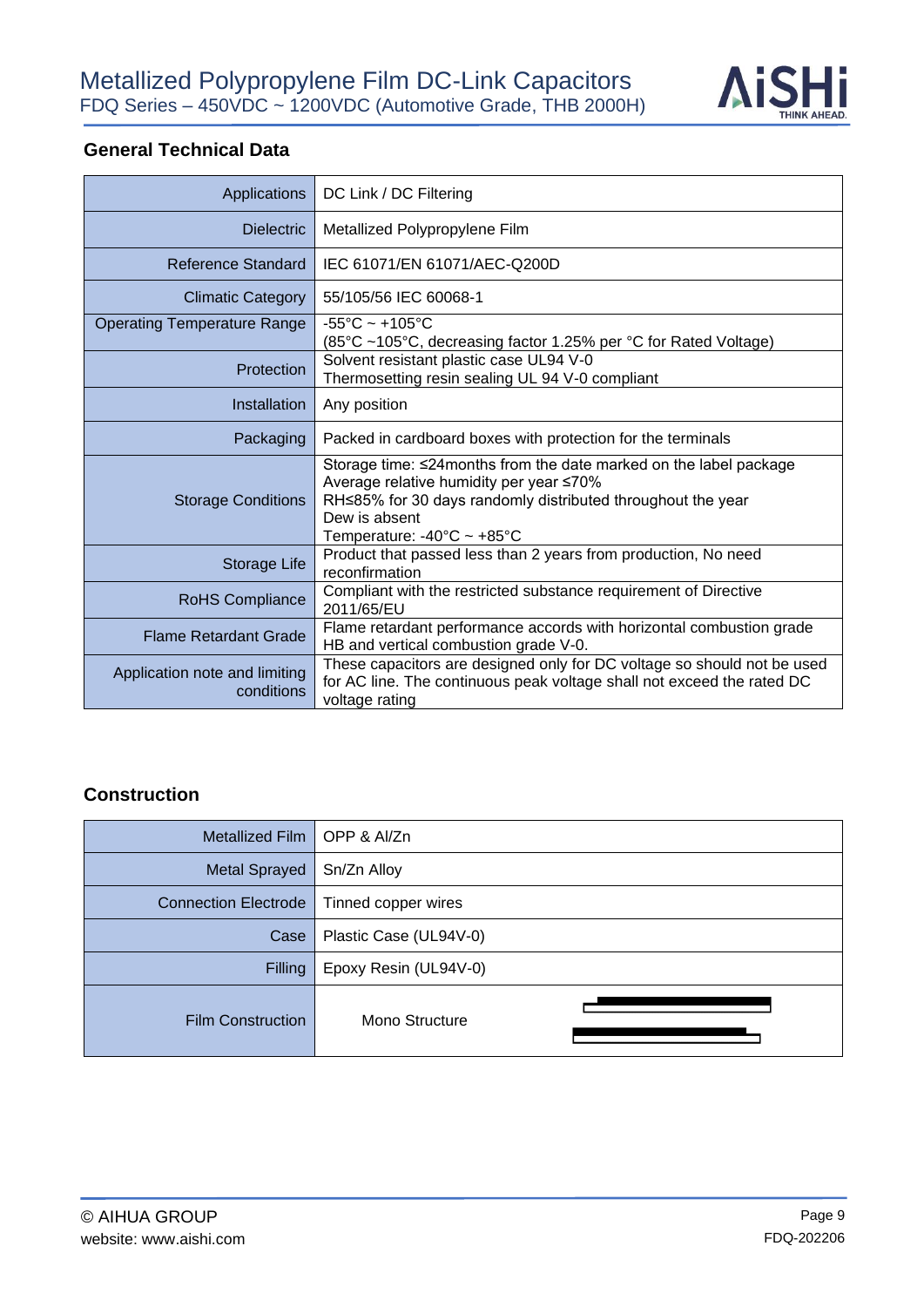

### **General Technical Data**

| Applications                                | DC Link / DC Filtering                                                                                                                                                                                                                          |  |  |  |
|---------------------------------------------|-------------------------------------------------------------------------------------------------------------------------------------------------------------------------------------------------------------------------------------------------|--|--|--|
| <b>Dielectric</b>                           | Metallized Polypropylene Film                                                                                                                                                                                                                   |  |  |  |
| Reference Standard                          | IEC 61071/EN 61071/AEC-Q200D                                                                                                                                                                                                                    |  |  |  |
| <b>Climatic Category</b>                    | 55/105/56 IEC 60068-1                                                                                                                                                                                                                           |  |  |  |
| <b>Operating Temperature Range</b>          | $-55^{\circ}$ C ~ +105 $^{\circ}$ C<br>(85°C ~105°C, decreasing factor 1.25% per °C for Rated Voltage)                                                                                                                                          |  |  |  |
| Protection                                  | Solvent resistant plastic case UL94 V-0<br>Thermosetting resin sealing UL 94 V-0 compliant                                                                                                                                                      |  |  |  |
| Installation                                | Any position                                                                                                                                                                                                                                    |  |  |  |
| Packaging                                   | Packed in cardboard boxes with protection for the terminals                                                                                                                                                                                     |  |  |  |
| <b>Storage Conditions</b>                   | Storage time: ≤24 months from the date marked on the label package<br>Average relative humidity per year ≤70%<br>RH≤85% for 30 days randomly distributed throughout the year<br>Dew is absent<br>Temperature: $-40^{\circ}$ C ~ $+85^{\circ}$ C |  |  |  |
| Storage Life                                | Product that passed less than 2 years from production, No need<br>reconfirmation                                                                                                                                                                |  |  |  |
| <b>RoHS Compliance</b>                      | Compliant with the restricted substance requirement of Directive<br>2011/65/EU                                                                                                                                                                  |  |  |  |
| <b>Flame Retardant Grade</b>                | Flame retardant performance accords with horizontal combustion grade<br>HB and vertical combustion grade V-0.                                                                                                                                   |  |  |  |
| Application note and limiting<br>conditions | These capacitors are designed only for DC voltage so should not be used<br>for AC line. The continuous peak voltage shall not exceed the rated DC<br>voltage rating                                                                             |  |  |  |

#### **Construction**

| Metallized Film             | OPP & Al/Zn            |  |  |  |  |
|-----------------------------|------------------------|--|--|--|--|
| <b>Metal Sprayed</b>        | Sn/Zn Alloy            |  |  |  |  |
| <b>Connection Electrode</b> | Tinned copper wires    |  |  |  |  |
| Case                        | Plastic Case (UL94V-0) |  |  |  |  |
| <b>Filling</b>              | Epoxy Resin (UL94V-0)  |  |  |  |  |
| <b>Film Construction</b>    | Mono Structure         |  |  |  |  |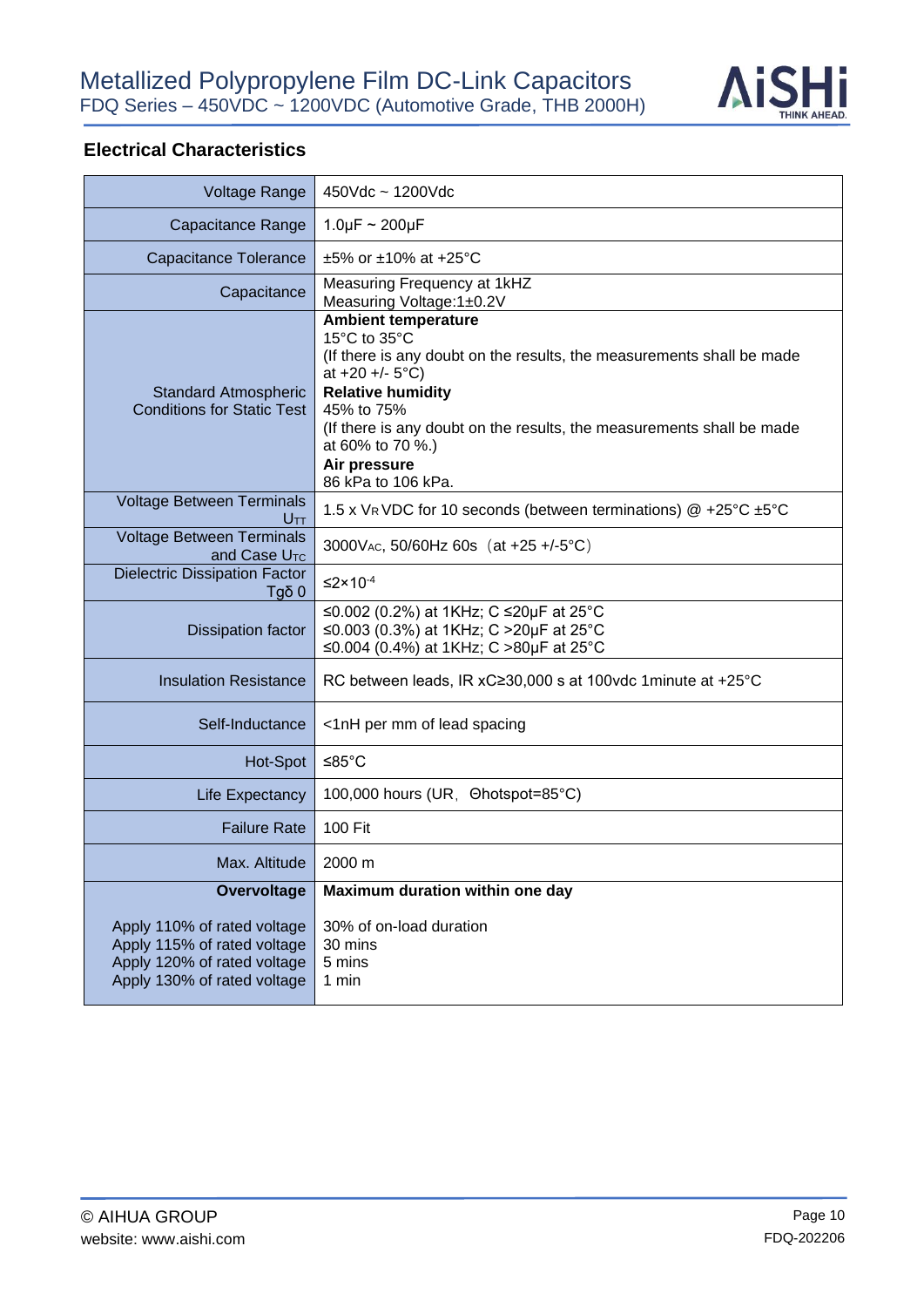

### **Electrical Characteristics**

| <b>Voltage Range</b>                                                                                                     | $450Vdc \sim 1200Vdc$                                                                                                                                                                                                                                                                                                        |  |  |  |
|--------------------------------------------------------------------------------------------------------------------------|------------------------------------------------------------------------------------------------------------------------------------------------------------------------------------------------------------------------------------------------------------------------------------------------------------------------------|--|--|--|
| Capacitance Range                                                                                                        | $1.0 \mu F \sim 200 \mu F$                                                                                                                                                                                                                                                                                                   |  |  |  |
| Capacitance Tolerance                                                                                                    | $\pm 5\%$ or $\pm 10\%$ at $+25\degree$ C                                                                                                                                                                                                                                                                                    |  |  |  |
| Capacitance                                                                                                              | Measuring Frequency at 1kHZ<br>Measuring Voltage: 1±0.2V                                                                                                                                                                                                                                                                     |  |  |  |
| <b>Standard Atmospheric</b><br><b>Conditions for Static Test</b>                                                         | <b>Ambient temperature</b><br>15°C to 35°C<br>(If there is any doubt on the results, the measurements shall be made<br>at $+20 + (-5^{\circ}C)$<br><b>Relative humidity</b><br>45% to 75%<br>(If there is any doubt on the results, the measurements shall be made<br>at 60% to 70 %.)<br>Air pressure<br>86 kPa to 106 kPa. |  |  |  |
| <b>Voltage Between Terminals</b><br>Utt                                                                                  | 1.5 x VR VDC for 10 seconds (between terminations) @ +25°C ±5°C                                                                                                                                                                                                                                                              |  |  |  |
| <b>Voltage Between Terminals</b><br>and Case $UTC$                                                                       | 3000V <sub>AC</sub> , 50/60Hz 60s (at +25 +/-5°C)                                                                                                                                                                                                                                                                            |  |  |  |
| <b>Dielectric Dissipation Factor</b><br>$Tg\delta$ 0                                                                     | $\leq$ 2×10 <sup>-4</sup>                                                                                                                                                                                                                                                                                                    |  |  |  |
| <b>Dissipation factor</b>                                                                                                | ≤0.002 (0.2%) at 1KHz; C ≤20µF at 25°C<br>≤0.003 (0.3%) at 1KHz; C >20µF at 25°C<br>≤0.004 (0.4%) at 1KHz; C >80µF at 25°C                                                                                                                                                                                                   |  |  |  |
| <b>Insulation Resistance</b>                                                                                             | RC between leads, IR xC≥30,000 s at 100vdc 1 minute at +25°C                                                                                                                                                                                                                                                                 |  |  |  |
| Self-Inductance                                                                                                          | <1nH per mm of lead spacing                                                                                                                                                                                                                                                                                                  |  |  |  |
| Hot-Spot                                                                                                                 | ≤85 $°C$                                                                                                                                                                                                                                                                                                                     |  |  |  |
| Life Expectancy                                                                                                          | 100,000 hours (UR, Ohotspot=85°C)                                                                                                                                                                                                                                                                                            |  |  |  |
| <b>Failure Rate</b>                                                                                                      | 100 Fit                                                                                                                                                                                                                                                                                                                      |  |  |  |
| Max. Altitude                                                                                                            | 2000 m                                                                                                                                                                                                                                                                                                                       |  |  |  |
| <b>Overvoltage</b>                                                                                                       | Maximum duration within one day                                                                                                                                                                                                                                                                                              |  |  |  |
| Apply 110% of rated voltage<br>Apply 115% of rated voltage<br>Apply 120% of rated voltage<br>Apply 130% of rated voltage | 30% of on-load duration<br>30 mins<br>5 mins<br>1 min                                                                                                                                                                                                                                                                        |  |  |  |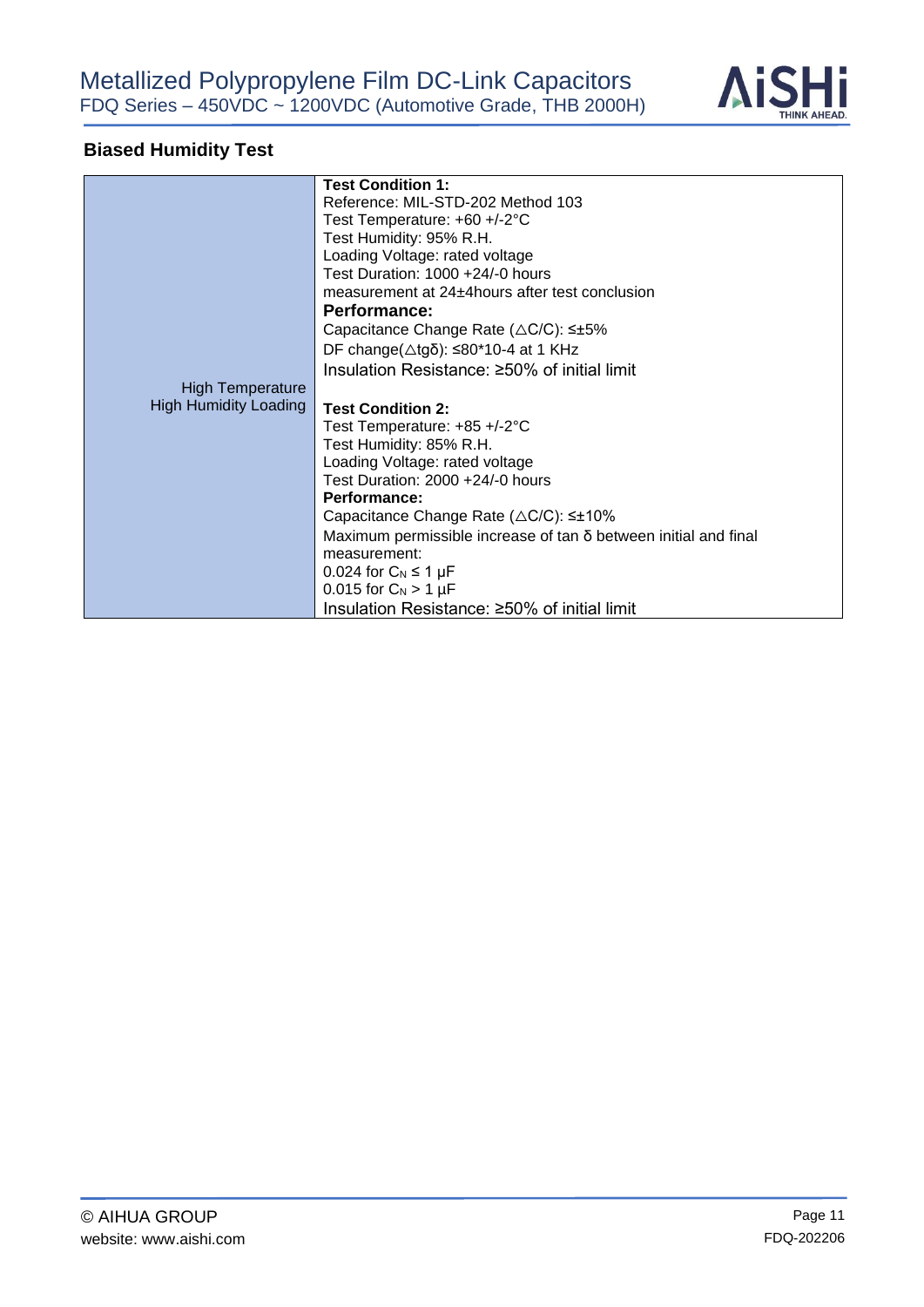

# **Biased Humidity Test**

|                              | <b>Test Condition 1:</b>                                               |  |  |
|------------------------------|------------------------------------------------------------------------|--|--|
|                              | Reference: MIL-STD-202 Method 103                                      |  |  |
|                              | Test Temperature: +60 +/-2°C                                           |  |  |
|                              | Test Humidity: 95% R.H.                                                |  |  |
|                              | Loading Voltage: rated voltage                                         |  |  |
|                              | Test Duration: 1000 +24/-0 hours                                       |  |  |
|                              | measurement at 24±4 hours after test conclusion                        |  |  |
|                              | <b>Performance:</b>                                                    |  |  |
|                              | Capacitance Change Rate ( $\triangle$ C/C): $\leq \pm 5\%$             |  |  |
|                              | DF change( $\triangle$ tgδ): ≤80*10-4 at 1 KHz                         |  |  |
|                              | Insulation Resistance: ≥50% of initial limit                           |  |  |
|                              |                                                                        |  |  |
| <b>High Temperature</b>      |                                                                        |  |  |
| <b>High Humidity Loading</b> | <b>Test Condition 2:</b>                                               |  |  |
|                              | Test Temperature: $+85 + (-2^{\circ}C)$                                |  |  |
|                              | Test Humidity: 85% R.H.                                                |  |  |
|                              | Loading Voltage: rated voltage                                         |  |  |
|                              | Test Duration: 2000 +24/-0 hours                                       |  |  |
|                              | Performance:                                                           |  |  |
|                              | Capacitance Change Rate $(\triangle C/C)$ : $\leq \pm 10\%$            |  |  |
|                              |                                                                        |  |  |
|                              | Maximum permissible increase of $tan \delta$ between initial and final |  |  |
|                              | measurement:                                                           |  |  |
|                              | 0.024 for $C_N \leq 1 \mu F$                                           |  |  |
|                              | 0.015 for $C_N > 1 \mu F$                                              |  |  |
|                              | Insulation Resistance: ≥50% of initial limit                           |  |  |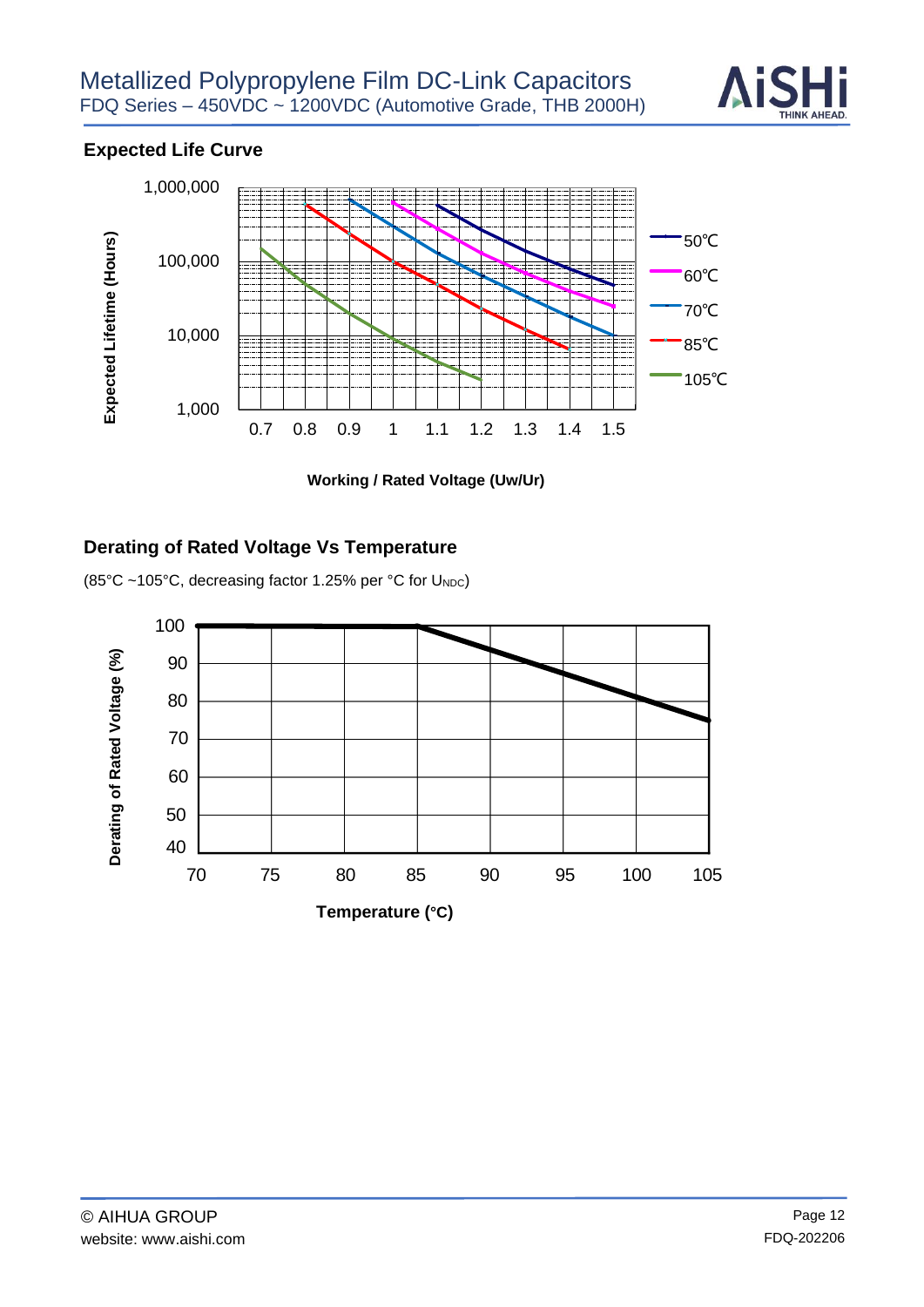

### **Expected Life Curve**



**Working / Rated Voltage (Uw/Ur)**

#### **Derating of Rated Voltage Vs Temperature**

(85°C ~105°C, decreasing factor 1.25% per °C for UNDC)

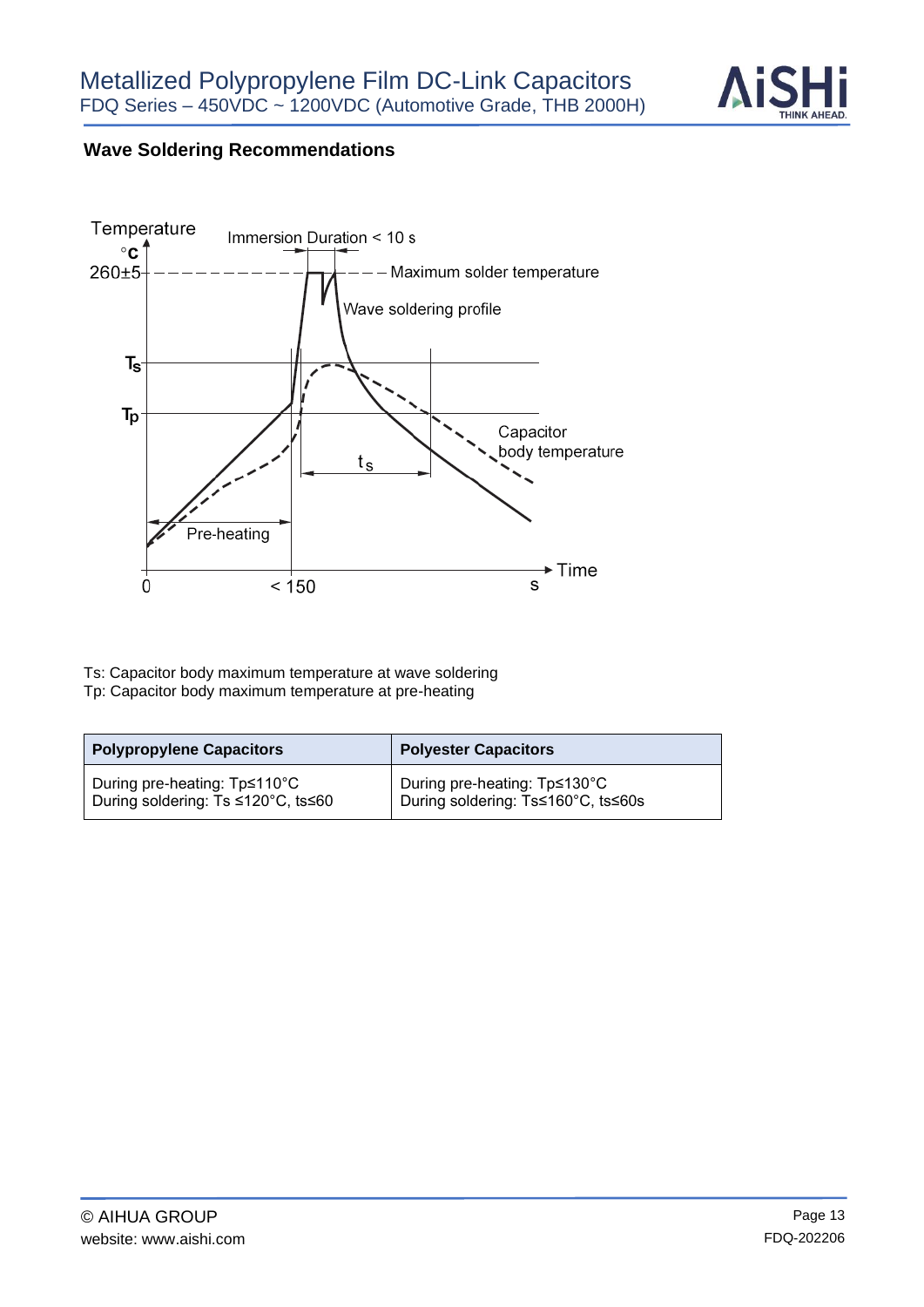

### **Wave Soldering Recommendations**



Ts: Capacitor body maximum temperature at wave soldering Tp: Capacitor body maximum temperature at pre-heating

| <b>Polypropylene Capacitors</b>    | <b>Polyester Capacitors</b>        |  |  |
|------------------------------------|------------------------------------|--|--|
| During pre-heating: Tp≤110°C       | During pre-heating: Tp≤130°C       |  |  |
| During soldering: Ts ≤120°C, ts≤60 | During soldering: Ts≤160°C, ts≤60s |  |  |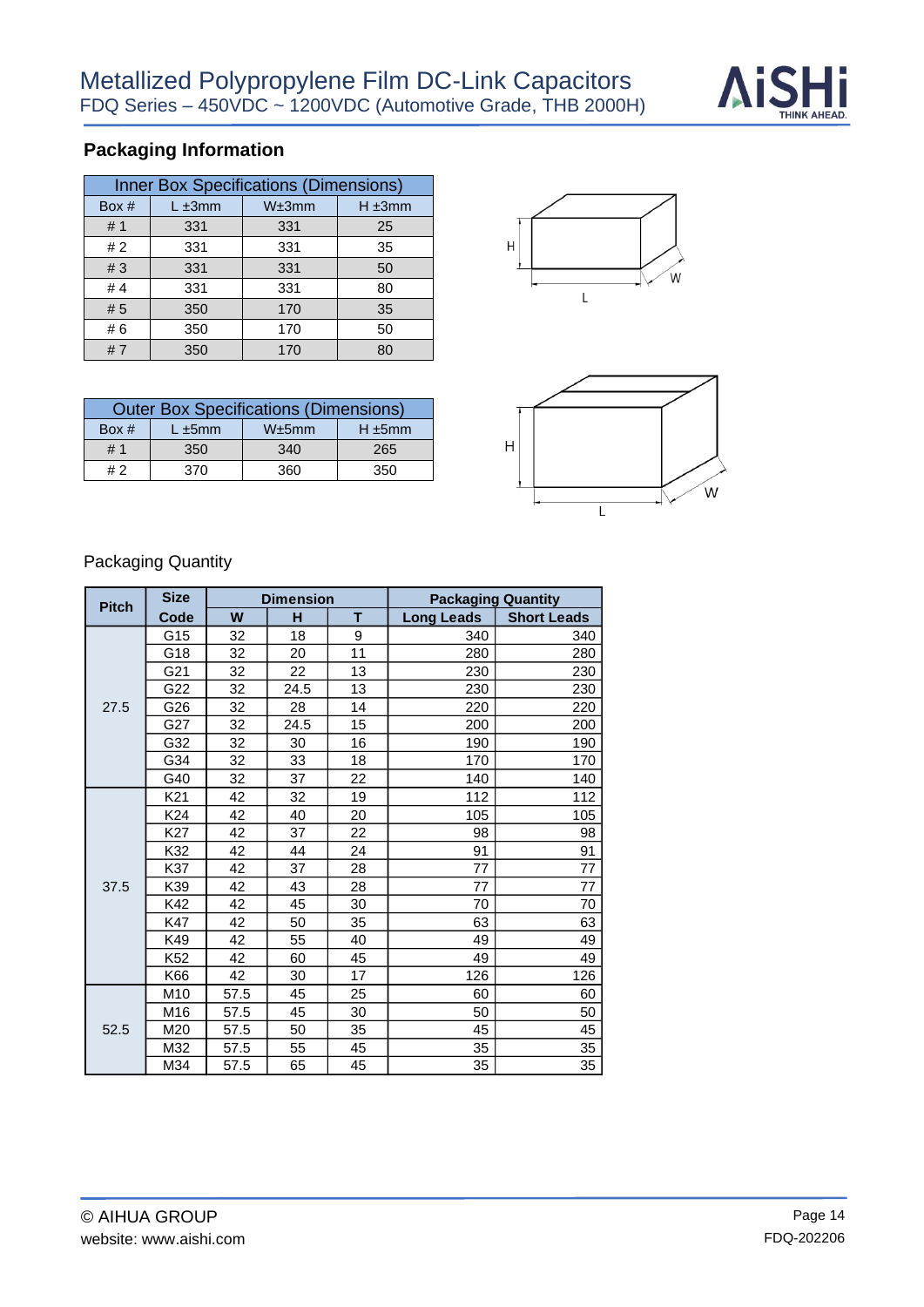

# **Packaging Information**

| <b>Inner Box Specifications (Dimensions)</b> |              |       |             |  |
|----------------------------------------------|--------------|-------|-------------|--|
| Box #                                        | $L \pm 3$ mm | W±3mm | $H \pm 3mm$ |  |
| #1                                           | 331          | 331   | 25          |  |
| #2                                           | 331          | 331   | 35          |  |
| #3                                           | 331          | 331   | 50          |  |
| #4                                           | 331          | 331   | 80          |  |
| #5                                           | 350          | 170   | 35          |  |
| #6                                           | 350          | 170   | 50          |  |
| #7                                           | 350          | 170   | 80          |  |

| <b>Outer Box Specifications (Dimensions)</b> |                                       |     |     |  |  |
|----------------------------------------------|---------------------------------------|-----|-----|--|--|
| Box $#$                                      | W±5mm<br>$H \pm 5$ mm<br>$L \pm 5$ mm |     |     |  |  |
| # 1                                          | 350                                   | 340 | 265 |  |  |
| #2                                           | 370                                   | 360 | 350 |  |  |





### Packaging Quantity

| <b>Pitch</b> | <b>Size</b>     | <b>Dimension</b> |      |    | <b>Packaging Quantity</b> |                    |
|--------------|-----------------|------------------|------|----|---------------------------|--------------------|
| Code         |                 | W                | н    | т  | <b>Long Leads</b>         | <b>Short Leads</b> |
| 27.5         | G15             | 32               | 18   | 9  | 340                       | 340                |
|              | G18             | 32               | 20   | 11 | 280                       | 280                |
|              | G21             | 32               | 22   | 13 | 230                       | 230                |
|              | G22             | 32               | 24.5 | 13 | 230                       | 230                |
|              | G26             | 32               | 28   | 14 | 220                       | 220                |
|              | G27             | 32               | 24.5 | 15 | 200                       | 200                |
|              | G32             | 32               | 30   | 16 | 190                       | 190                |
|              | G34             | 32               | 33   | 18 | 170                       | 170                |
|              | G40             | 32               | 37   | 22 | 140                       | 140                |
|              | K <sub>21</sub> | 42               | 32   | 19 | 112                       | 112                |
|              | K <sub>24</sub> | 42               | 40   | 20 | 105                       | 105                |
|              | K27             | 42               | 37   | 22 | 98                        | 98                 |
|              | K32             | 42               | 44   | 24 | 91                        | 91                 |
|              | K37             | 42               | 37   | 28 | 77                        | 77                 |
| 37.5         | K39             | 42               | 43   | 28 | 77                        | 77                 |
|              | K42             | 42               | 45   | 30 | 70                        | 70                 |
|              | K47             | 42               | 50   | 35 | 63                        | 63                 |
|              | K49             | 42               | 55   | 40 | 49                        | 49                 |
|              | K <sub>52</sub> | 42               | 60   | 45 | 49                        | 49                 |
|              | K66             | 42               | 30   | 17 | 126                       | 126                |
| 52.5         | M10             | 57.5             | 45   | 25 | 60                        | 60                 |
|              | M16             | 57.5             | 45   | 30 | 50                        | 50                 |
|              | M20             | 57.5             | 50   | 35 | 45                        | 45                 |
|              | M32             | 57.5             | 55   | 45 | 35                        | 35                 |
|              | M34             | 57.5             | 65   | 45 | 35                        | 35                 |